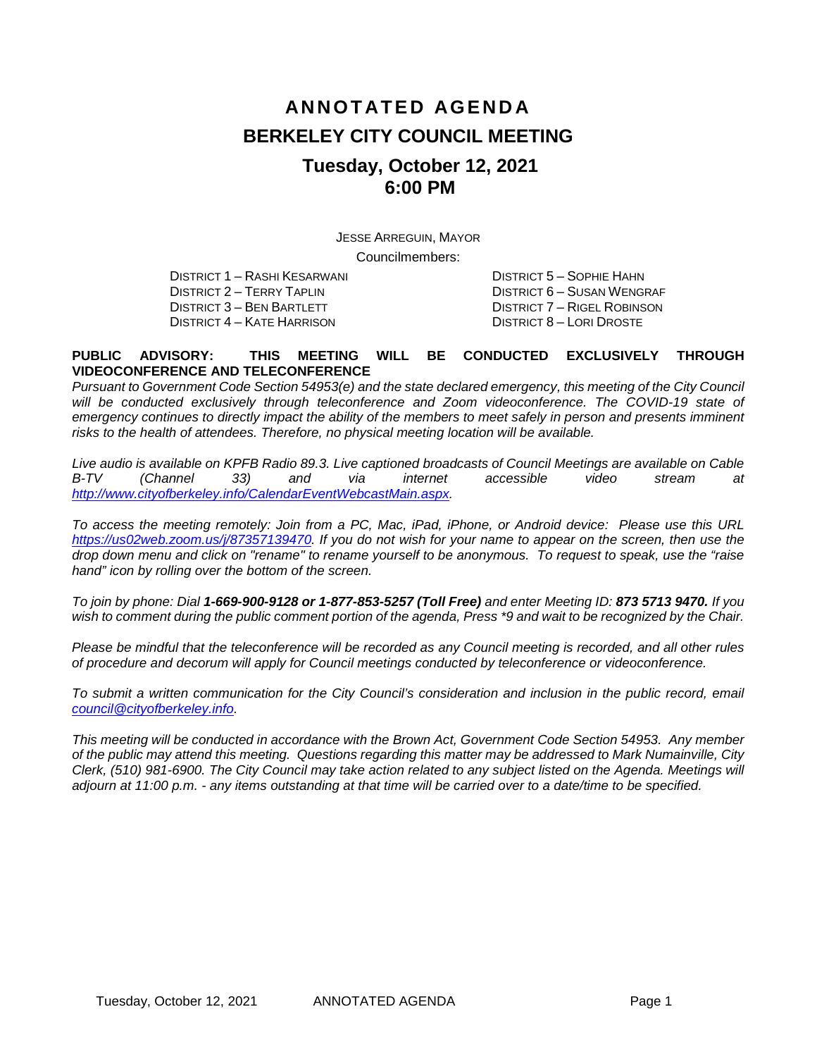# **ANNOTATED AGENDA BERKELEY CITY COUNCIL MEETING Tuesday, October 12, 2021 6:00 PM**

JESSE ARREGUIN, MAYOR Councilmembers:

DISTRICT 1 – RASHI KESARWANI DISTRICT 5 – SOPHIE HAHN DISTRICT 4 – KATE HARRISON

DISTRICT 2 – TERRY TAPLIN DISTRICT 6 – SUSAN WENGRAF DISTRICT 7 – RIGEL ROBINSON<br>DISTRICT 8 – LORI DROSTE

#### **PUBLIC ADVISORY: THIS MEETING WILL BE CONDUCTED EXCLUSIVELY THROUGH VIDEOCONFERENCE AND TELECONFERENCE**

*Pursuant to Government Code Section 54953(e) and the state declared emergency, this meeting of the City Council* will be conducted exclusively through teleconference and Zoom videoconference. The COVID-19 state of emergency continues to directly impact the ability of the members to meet safely in person and presents imminent *risks to the health of attendees. Therefore, no physical meeting location will be available.* 

*Live audio is available on KPFB Radio 89.3. Live captioned broadcasts of Council Meetings are available on Cable B-TV (Channel 33) and via internet accessible video stream at [http://www.cityofberkeley.info/CalendarEventWebcastMain.aspx.](http://www.cityofberkeley.info/CalendarEventWebcastMain.aspx)*

*To access the meeting remotely: Join from a PC, Mac, iPad, iPhone, or Android device: Please use this URL [https://us02web.zoom.us/j/87357139470.](https://us02web.zoom.us/j/87357139470) If you do not wish for your name to appear on the screen, then use the drop down menu and click on "rename" to rename yourself to be anonymous. To request to speak, use the "raise hand" icon by rolling over the bottom of the screen.* 

*To join by phone: Dial 1-669-900-9128 or 1-877-853-5257 (Toll Free) and enter Meeting ID: 873 5713 9470. If you*  wish to comment during the public comment portion of the agenda, Press \*9 and wait to be recognized by the Chair.

*Please be mindful that the teleconference will be recorded as any Council meeting is recorded, and all other rules of procedure and decorum will apply for Council meetings conducted by teleconference or videoconference.*

To submit a written communication for the City Council's consideration and inclusion in the public record, email *[council@cityofberkeley.info.](mailto:council@cityofberkeley.info)*

*This meeting will be conducted in accordance with the Brown Act, Government Code Section 54953. Any member of the public may attend this meeting. Questions regarding this matter may be addressed to Mark Numainville, City Clerk, (510) 981-6900. The City Council may take action related to any subject listed on the Agenda. Meetings will adjourn at 11:00 p.m. - any items outstanding at that time will be carried over to a date/time to be specified.*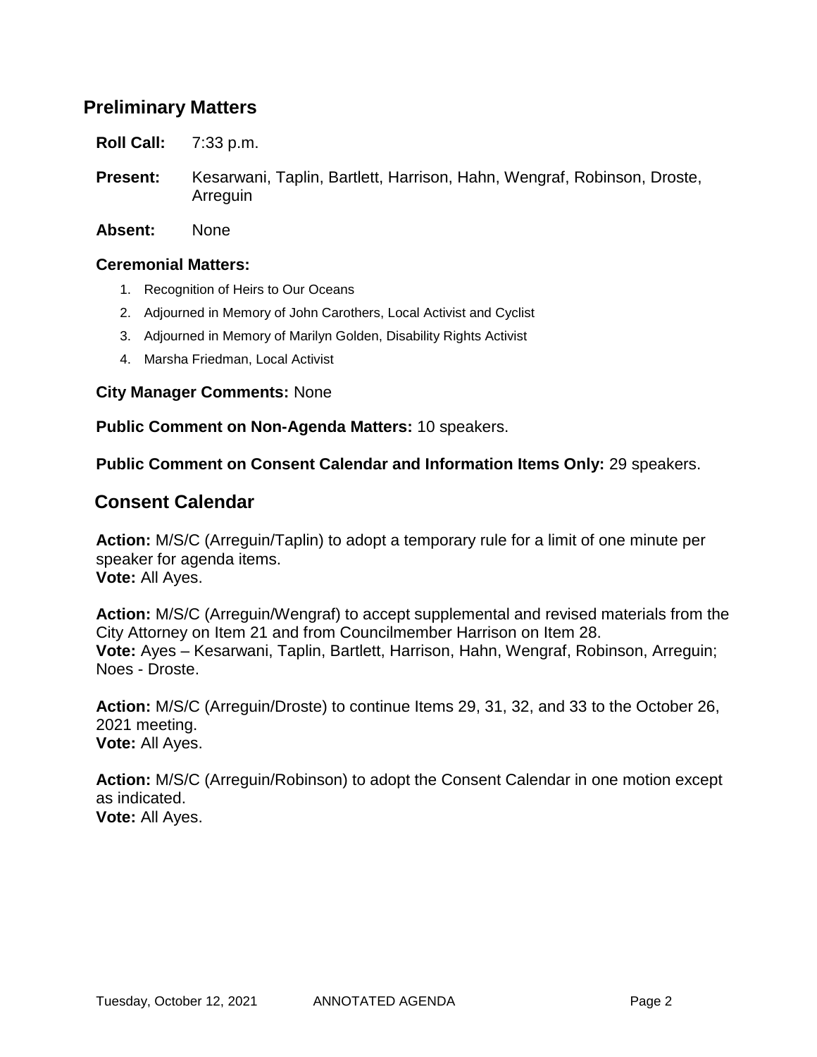## **Preliminary Matters**

**Roll Call:** 7:33 p.m.

- **Present:** Kesarwani, Taplin, Bartlett, Harrison, Hahn, Wengraf, Robinson, Droste, Arreguin
- **Absent:** None

### **Ceremonial Matters:**

- 1. Recognition of Heirs to Our Oceans
- 2. Adjourned in Memory of John Carothers, Local Activist and Cyclist
- 3. Adjourned in Memory of Marilyn Golden, Disability Rights Activist
- 4. Marsha Friedman, Local Activist

**City Manager Comments:** None

**Public Comment on Non-Agenda Matters:** 10 speakers.

**Public Comment on Consent Calendar and Information Items Only:** 29 speakers.

### **Consent Calendar**

**Action:** M/S/C (Arreguin/Taplin) to adopt a temporary rule for a limit of one minute per speaker for agenda items. **Vote:** All Ayes.

**Action:** M/S/C (Arreguin/Wengraf) to accept supplemental and revised materials from the City Attorney on Item 21 and from Councilmember Harrison on Item 28. **Vote:** Ayes – Kesarwani, Taplin, Bartlett, Harrison, Hahn, Wengraf, Robinson, Arreguin; Noes - Droste.

**Action:** M/S/C (Arreguin/Droste) to continue Items 29, 31, 32, and 33 to the October 26, 2021 meeting. **Vote:** All Ayes.

**Action:** M/S/C (Arreguin/Robinson) to adopt the Consent Calendar in one motion except as indicated. **Vote:** All Ayes.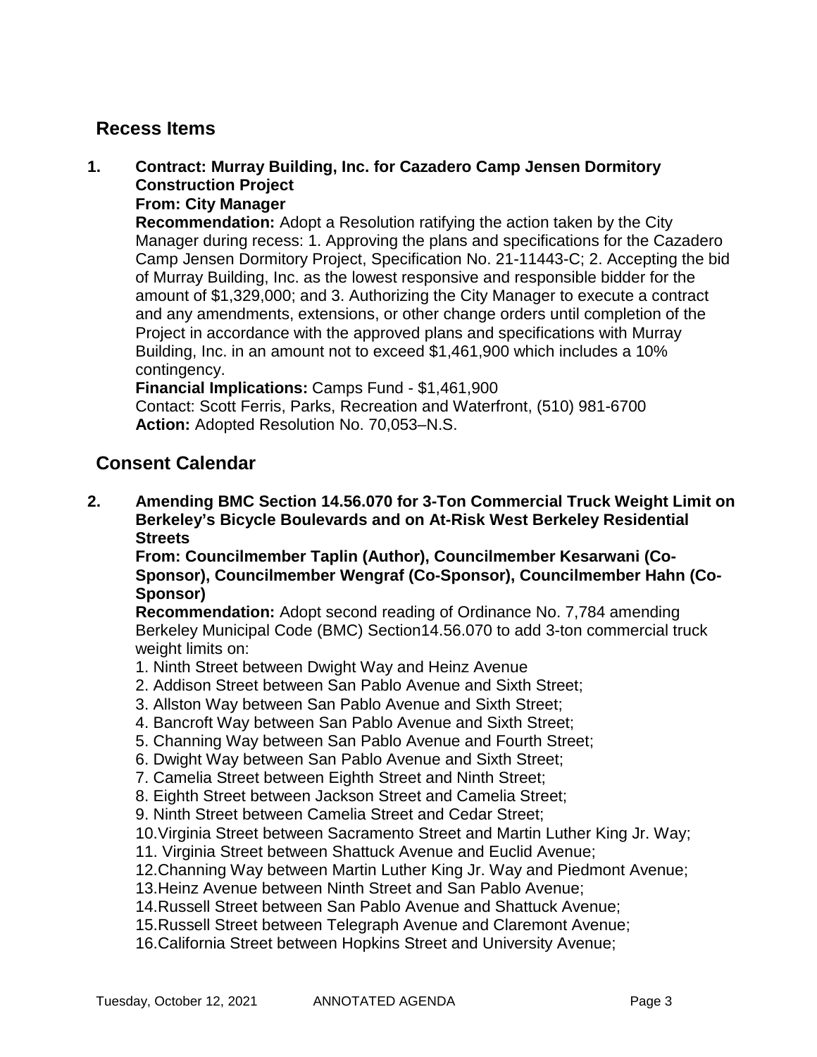## **Recess Items**

## **1. Contract: Murray Building, Inc. for Cazadero Camp Jensen Dormitory Construction Project**

## **From: City Manager**

**Recommendation:** Adopt a Resolution ratifying the action taken by the City Manager during recess: 1. Approving the plans and specifications for the Cazadero Camp Jensen Dormitory Project, Specification No. 21-11443-C; 2. Accepting the bid of Murray Building, Inc. as the lowest responsive and responsible bidder for the amount of \$1,329,000; and 3. Authorizing the City Manager to execute a contract and any amendments, extensions, or other change orders until completion of the Project in accordance with the approved plans and specifications with Murray Building, Inc. in an amount not to exceed \$1,461,900 which includes a 10% contingency.

### **Financial Implications:** Camps Fund - \$1,461,900

Contact: Scott Ferris, Parks, Recreation and Waterfront, (510) 981-6700 **Action:** Adopted Resolution No. 70,053–N.S.

### **Consent Calendar**

**2. Amending BMC Section 14.56.070 for 3-Ton Commercial Truck Weight Limit on Berkeley's Bicycle Boulevards and on At-Risk West Berkeley Residential Streets**

**From: Councilmember Taplin (Author), Councilmember Kesarwani (Co-Sponsor), Councilmember Wengraf (Co-Sponsor), Councilmember Hahn (Co-Sponsor)**

**Recommendation:** Adopt second reading of Ordinance No. 7,784 amending Berkeley Municipal Code (BMC) Section14.56.070 to add 3-ton commercial truck weight limits on:

- 1. Ninth Street between Dwight Way and Heinz Avenue
- 2. Addison Street between San Pablo Avenue and Sixth Street;
- 3. Allston Way between San Pablo Avenue and Sixth Street;
- 4. Bancroft Way between San Pablo Avenue and Sixth Street;
- 5. Channing Way between San Pablo Avenue and Fourth Street;
- 6. Dwight Way between San Pablo Avenue and Sixth Street;
- 7. Camelia Street between Eighth Street and Ninth Street;
- 8. Eighth Street between Jackson Street and Camelia Street;
- 9. Ninth Street between Camelia Street and Cedar Street;
- 10.Virginia Street between Sacramento Street and Martin Luther King Jr. Way;
- 11. Virginia Street between Shattuck Avenue and Euclid Avenue;
- 12.Channing Way between Martin Luther King Jr. Way and Piedmont Avenue;
- 13.Heinz Avenue between Ninth Street and San Pablo Avenue;
- 14.Russell Street between San Pablo Avenue and Shattuck Avenue;
- 15.Russell Street between Telegraph Avenue and Claremont Avenue;
- 16.California Street between Hopkins Street and University Avenue;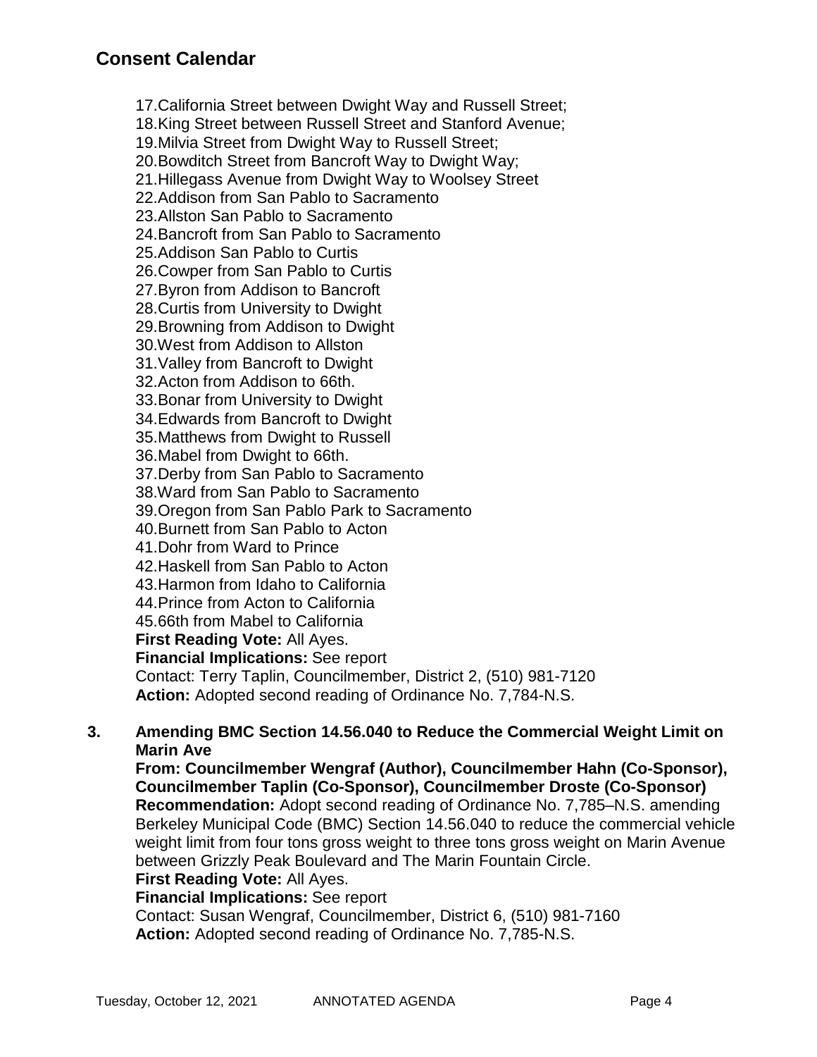17.California Street between Dwight Way and Russell Street; 18.King Street between Russell Street and Stanford Avenue; 19.Milvia Street from Dwight Way to Russell Street; 20.Bowditch Street from Bancroft Way to Dwight Way; 21.Hillegass Avenue from Dwight Way to Woolsey Street 22.Addison from San Pablo to Sacramento 23.Allston San Pablo to Sacramento 24.Bancroft from San Pablo to Sacramento 25.Addison San Pablo to Curtis 26.Cowper from San Pablo to Curtis 27.Byron from Addison to Bancroft 28.Curtis from University to Dwight 29.Browning from Addison to Dwight 30.West from Addison to Allston 31.Valley from Bancroft to Dwight 32.Acton from Addison to 66th. 33.Bonar from University to Dwight 34.Edwards from Bancroft to Dwight 35.Matthews from Dwight to Russell 36.Mabel from Dwight to 66th. 37.Derby from San Pablo to Sacramento 38.Ward from San Pablo to Sacramento 39.Oregon from San Pablo Park to Sacramento 40.Burnett from San Pablo to Acton 41.Dohr from Ward to Prince 42.Haskell from San Pablo to Acton 43.Harmon from Idaho to California 44.Prince from Acton to California 45.66th from Mabel to California **First Reading Vote:** All Ayes. **Financial Implications:** See report Contact: Terry Taplin, Councilmember, District 2, (510) 981-7120 **Action:** Adopted second reading of Ordinance No. 7,784-N.S.

### **3. Amending BMC Section 14.56.040 to Reduce the Commercial Weight Limit on Marin Ave**

**From: Councilmember Wengraf (Author), Councilmember Hahn (Co-Sponsor), Councilmember Taplin (Co-Sponsor), Councilmember Droste (Co-Sponsor) Recommendation:** Adopt second reading of Ordinance No. 7,785–N.S. amending Berkeley Municipal Code (BMC) Section 14.56.040 to reduce the commercial vehicle weight limit from four tons gross weight to three tons gross weight on Marin Avenue between Grizzly Peak Boulevard and The Marin Fountain Circle.

#### **First Reading Vote:** All Ayes. **Financial Implications:** See report

Contact: Susan Wengraf, Councilmember, District 6, (510) 981-7160 **Action:** Adopted second reading of Ordinance No. 7,785-N.S.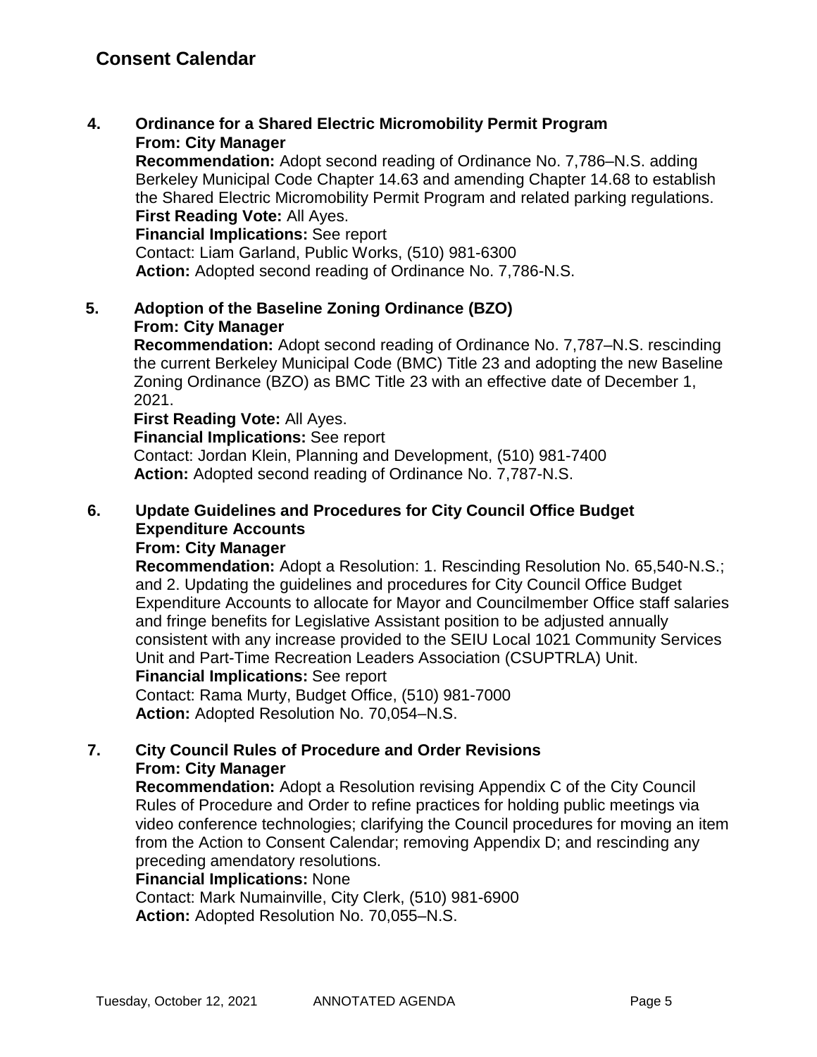### **4. Ordinance for a Shared Electric Micromobility Permit Program From: City Manager**

**Recommendation:** Adopt second reading of Ordinance No. 7,786–N.S. adding Berkeley Municipal Code Chapter 14.63 and amending Chapter 14.68 to establish the Shared Electric Micromobility Permit Program and related parking regulations. **First Reading Vote:** All Ayes.

**Financial Implications:** See report Contact: Liam Garland, Public Works, (510) 981-6300 **Action:** Adopted second reading of Ordinance No. 7,786-N.S.

### **5. Adoption of the Baseline Zoning Ordinance (BZO) From: City Manager**

**Recommendation:** Adopt second reading of Ordinance No. 7,787–N.S. rescinding the current Berkeley Municipal Code (BMC) Title 23 and adopting the new Baseline Zoning Ordinance (BZO) as BMC Title 23 with an effective date of December 1, 2021.

### **First Reading Vote:** All Ayes.

**Financial Implications:** See report

Contact: Jordan Klein, Planning and Development, (510) 981-7400 **Action:** Adopted second reading of Ordinance No. 7,787-N.S.

## **6. Update Guidelines and Procedures for City Council Office Budget Expenditure Accounts**

### **From: City Manager**

**Recommendation:** Adopt a Resolution: 1. Rescinding Resolution No. 65,540-N.S.; and 2. Updating the guidelines and procedures for City Council Office Budget Expenditure Accounts to allocate for Mayor and Councilmember Office staff salaries and fringe benefits for Legislative Assistant position to be adjusted annually consistent with any increase provided to the SEIU Local 1021 Community Services Unit and Part-Time Recreation Leaders Association (CSUPTRLA) Unit. **Financial Implications:** See report

Contact: Rama Murty, Budget Office, (510) 981-7000 **Action:** Adopted Resolution No. 70,054–N.S.

### **7. City Council Rules of Procedure and Order Revisions From: City Manager**

**Recommendation:** Adopt a Resolution revising Appendix C of the City Council Rules of Procedure and Order to refine practices for holding public meetings via video conference technologies; clarifying the Council procedures for moving an item from the Action to Consent Calendar; removing Appendix D; and rescinding any preceding amendatory resolutions.

### **Financial Implications:** None

Contact: Mark Numainville, City Clerk, (510) 981-6900 **Action:** Adopted Resolution No. 70,055–N.S.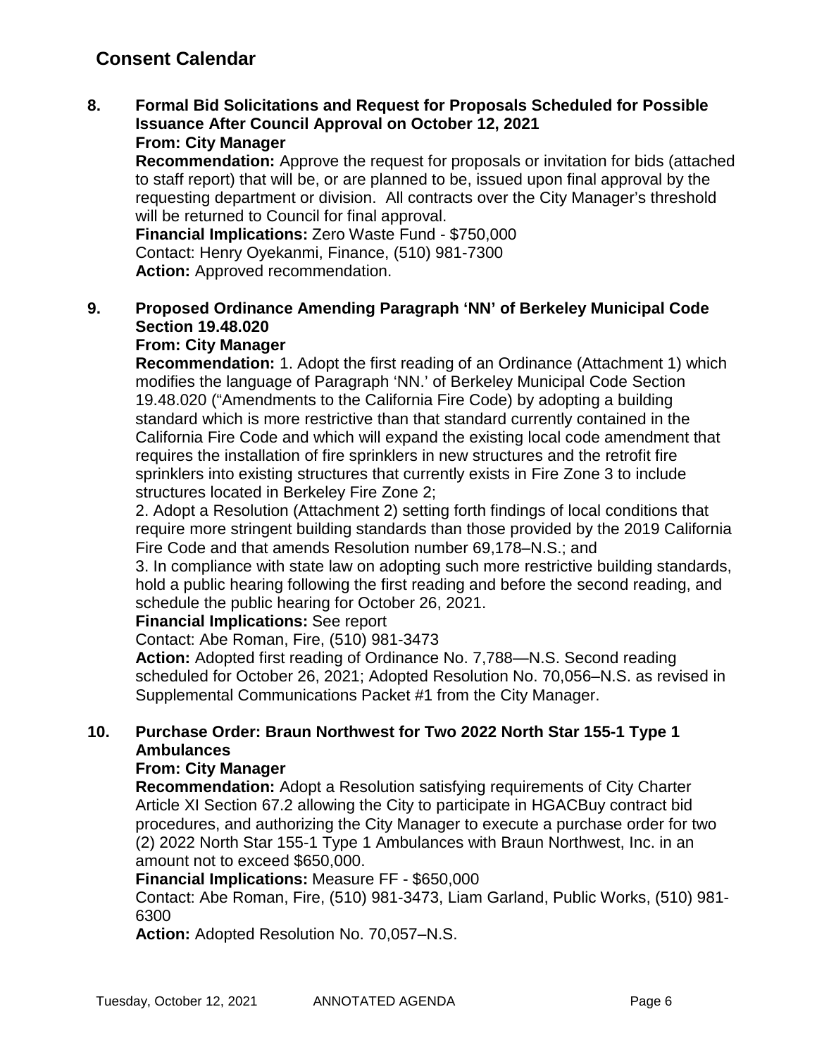## **Consent Calendar**

**8. Formal Bid Solicitations and Request for Proposals Scheduled for Possible Issuance After Council Approval on October 12, 2021 From: City Manager**

**Recommendation:** Approve the request for proposals or invitation for bids (attached to staff report) that will be, or are planned to be, issued upon final approval by the requesting department or division. All contracts over the City Manager's threshold will be returned to Council for final approval.

**Financial Implications:** Zero Waste Fund - \$750,000 Contact: Henry Oyekanmi, Finance, (510) 981-7300 Action: Approved recommendation.

## **9. Proposed Ordinance Amending Paragraph 'NN' of Berkeley Municipal Code Section 19.48.020**

## **From: City Manager**

**Recommendation:** 1. Adopt the first reading of an Ordinance (Attachment 1) which modifies the language of Paragraph 'NN.' of Berkeley Municipal Code Section 19.48.020 ("Amendments to the California Fire Code) by adopting a building standard which is more restrictive than that standard currently contained in the California Fire Code and which will expand the existing local code amendment that requires the installation of fire sprinklers in new structures and the retrofit fire sprinklers into existing structures that currently exists in Fire Zone 3 to include structures located in Berkeley Fire Zone 2;

2. Adopt a Resolution (Attachment 2) setting forth findings of local conditions that require more stringent building standards than those provided by the 2019 California Fire Code and that amends Resolution number 69,178–N.S.; and

3. In compliance with state law on adopting such more restrictive building standards, hold a public hearing following the first reading and before the second reading, and schedule the public hearing for October 26, 2021.

### **Financial Implications:** See report

Contact: Abe Roman, Fire, (510) 981-3473

**Action:** Adopted first reading of Ordinance No. 7,788—N.S. Second reading scheduled for October 26, 2021; Adopted Resolution No. 70,056–N.S. as revised in Supplemental Communications Packet #1 from the City Manager.

### **10. Purchase Order: Braun Northwest for Two 2022 North Star 155-1 Type 1 Ambulances**

### **From: City Manager**

**Recommendation:** Adopt a Resolution satisfying requirements of City Charter Article XI Section 67.2 allowing the City to participate in HGACBuy contract bid procedures, and authorizing the City Manager to execute a purchase order for two (2) 2022 North Star 155-1 Type 1 Ambulances with Braun Northwest, Inc. in an amount not to exceed \$650,000.

### **Financial Implications:** Measure FF - \$650,000

Contact: Abe Roman, Fire, (510) 981-3473, Liam Garland, Public Works, (510) 981- 6300

**Action:** Adopted Resolution No. 70,057–N.S.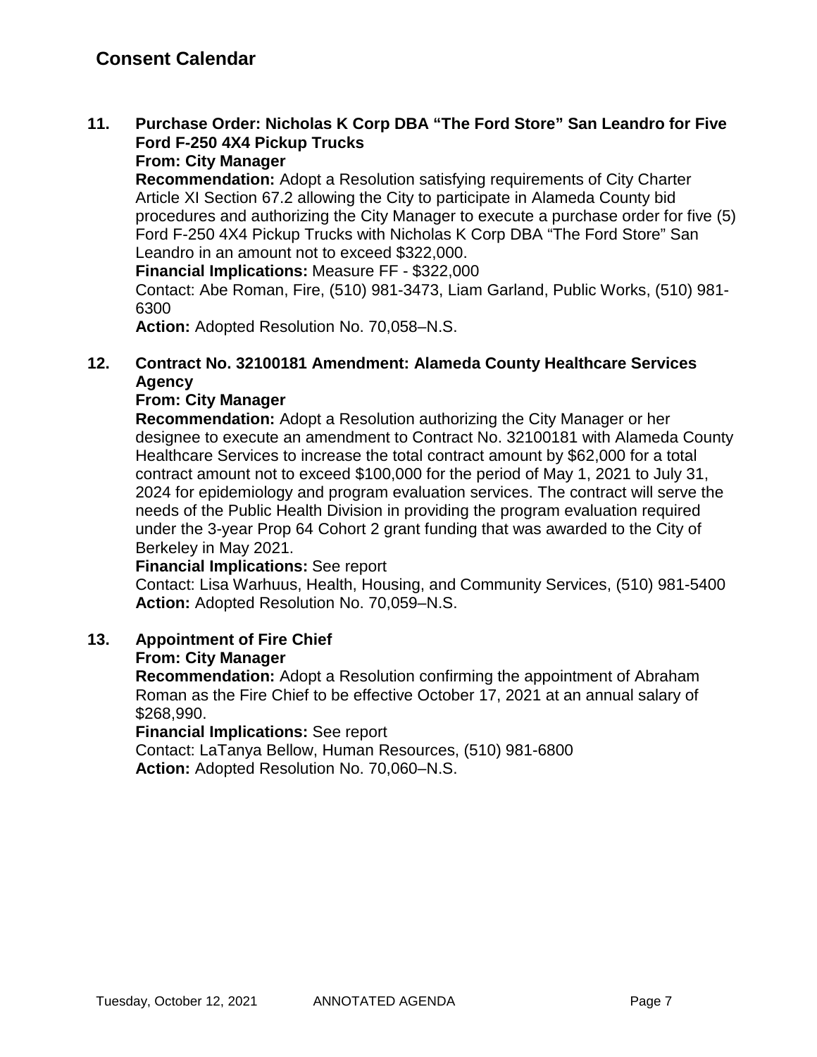### **11. Purchase Order: Nicholas K Corp DBA "The Ford Store" San Leandro for Five Ford F-250 4X4 Pickup Trucks From: City Manager**

**Recommendation:** Adopt a Resolution satisfying requirements of City Charter Article XI Section 67.2 allowing the City to participate in Alameda County bid procedures and authorizing the City Manager to execute a purchase order for five (5) Ford F-250 4X4 Pickup Trucks with Nicholas K Corp DBA "The Ford Store" San Leandro in an amount not to exceed \$322,000.

**Financial Implications:** Measure FF - \$322,000

Contact: Abe Roman, Fire, (510) 981-3473, Liam Garland, Public Works, (510) 981- 6300

**Action:** Adopted Resolution No. 70,058–N.S.

### **12. Contract No. 32100181 Amendment: Alameda County Healthcare Services Agency**

### **From: City Manager**

**Recommendation:** Adopt a Resolution authorizing the City Manager or her designee to execute an amendment to Contract No. 32100181 with Alameda County Healthcare Services to increase the total contract amount by \$62,000 for a total contract amount not to exceed \$100,000 for the period of May 1, 2021 to July 31, 2024 for epidemiology and program evaluation services. The contract will serve the needs of the Public Health Division in providing the program evaluation required under the 3-year Prop 64 Cohort 2 grant funding that was awarded to the City of Berkeley in May 2021.

### **Financial Implications:** See report

Contact: Lisa Warhuus, Health, Housing, and Community Services, (510) 981-5400 **Action:** Adopted Resolution No. 70,059–N.S.

### **13. Appointment of Fire Chief**

### **From: City Manager**

**Recommendation:** Adopt a Resolution confirming the appointment of Abraham Roman as the Fire Chief to be effective October 17, 2021 at an annual salary of \$268,990.

**Financial Implications:** See report

Contact: LaTanya Bellow, Human Resources, (510) 981-6800 **Action:** Adopted Resolution No. 70,060–N.S.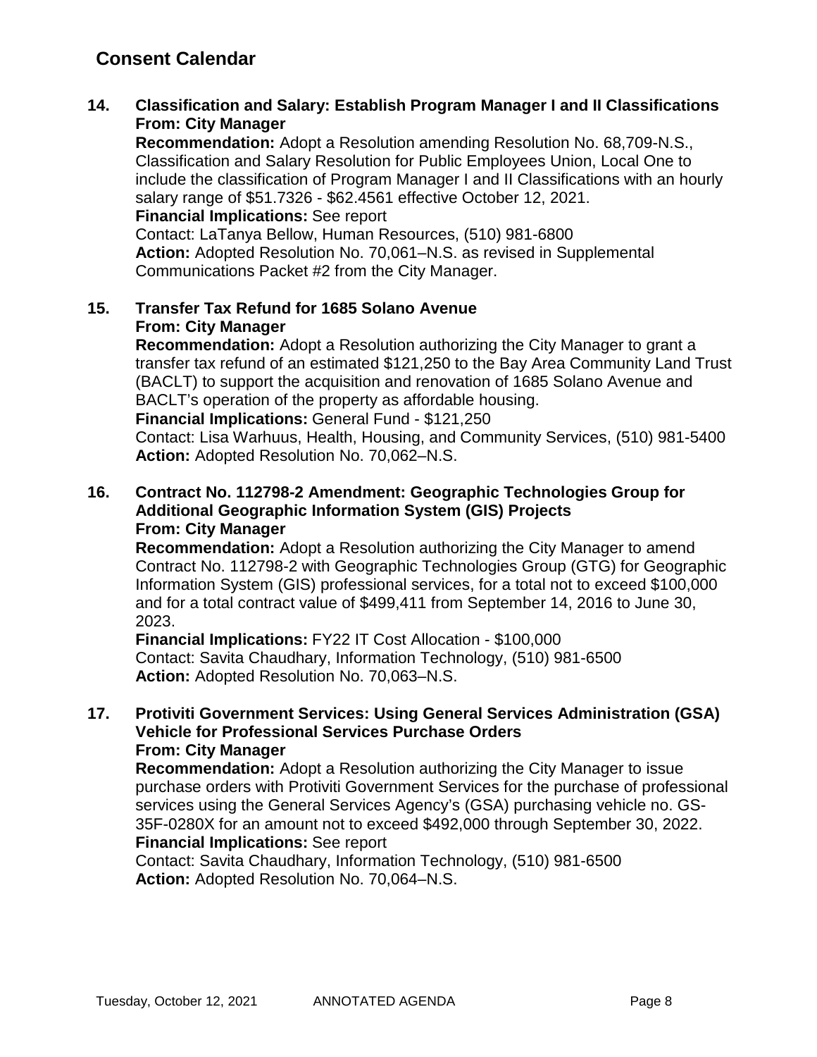## **Consent Calendar**

**14. Classification and Salary: Establish Program Manager I and II Classifications From: City Manager**

**Recommendation:** Adopt a Resolution amending Resolution No. 68,709-N.S., Classification and Salary Resolution for Public Employees Union, Local One to include the classification of Program Manager I and II Classifications with an hourly salary range of \$51.7326 - \$62.4561 effective October 12, 2021. **Financial Implications:** See report

Contact: LaTanya Bellow, Human Resources, (510) 981-6800 **Action:** Adopted Resolution No. 70,061–N.S. as revised in Supplemental

Communications Packet #2 from the City Manager.

### **15. Transfer Tax Refund for 1685 Solano Avenue From: City Manager**

**Recommendation:** Adopt a Resolution authorizing the City Manager to grant a transfer tax refund of an estimated \$121,250 to the Bay Area Community Land Trust (BACLT) to support the acquisition and renovation of 1685 Solano Avenue and BACLT's operation of the property as affordable housing.

**Financial Implications:** General Fund - \$121,250

Contact: Lisa Warhuus, Health, Housing, and Community Services, (510) 981-5400 **Action:** Adopted Resolution No. 70,062–N.S.

### **16. Contract No. 112798-2 Amendment: Geographic Technologies Group for Additional Geographic Information System (GIS) Projects From: City Manager**

**Recommendation:** Adopt a Resolution authorizing the City Manager to amend Contract No. 112798-2 with Geographic Technologies Group (GTG) for Geographic Information System (GIS) professional services, for a total not to exceed \$100,000 and for a total contract value of \$499,411 from September 14, 2016 to June 30, 2023.

**Financial Implications:** FY22 IT Cost Allocation - \$100,000 Contact: Savita Chaudhary, Information Technology, (510) 981-6500 **Action:** Adopted Resolution No. 70,063–N.S.

### **17. Protiviti Government Services: Using General Services Administration (GSA) Vehicle for Professional Services Purchase Orders From: City Manager**

**Recommendation:** Adopt a Resolution authorizing the City Manager to issue purchase orders with Protiviti Government Services for the purchase of professional services using the General Services Agency's (GSA) purchasing vehicle no. GS-35F-0280X for an amount not to exceed \$492,000 through September 30, 2022. **Financial Implications:** See report

Contact: Savita Chaudhary, Information Technology, (510) 981-6500 **Action:** Adopted Resolution No. 70,064–N.S.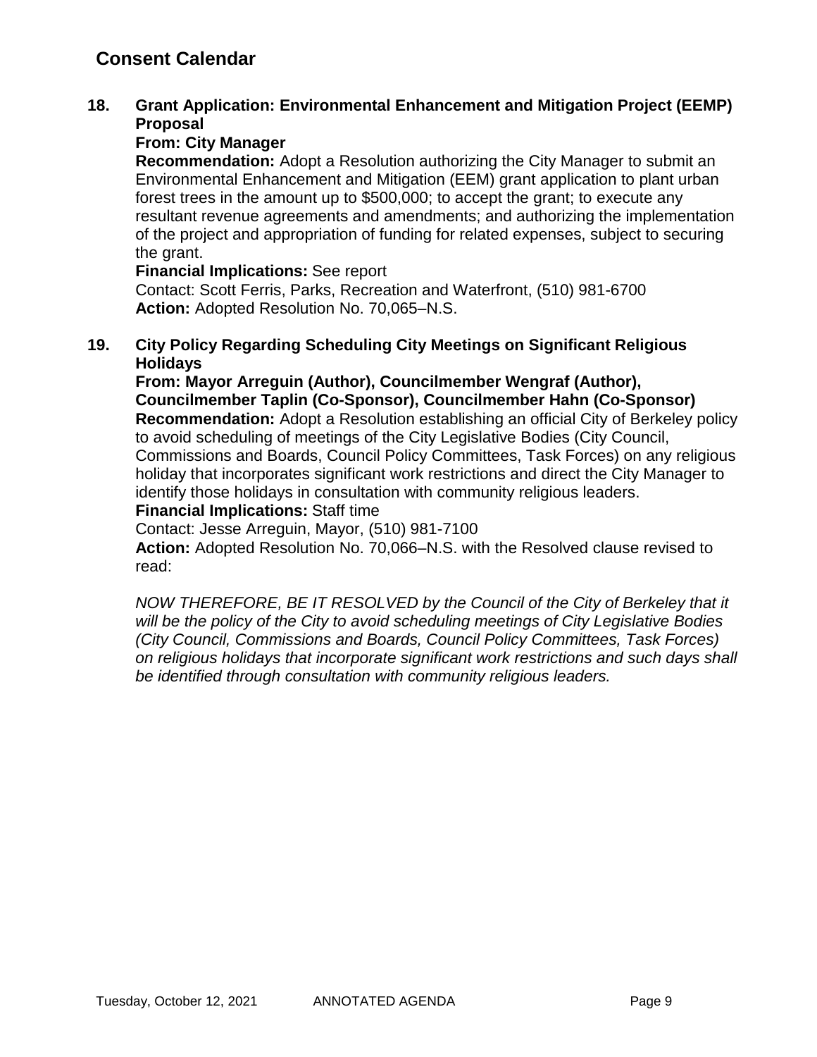## **Consent Calendar**

### **18. Grant Application: Environmental Enhancement and Mitigation Project (EEMP) Proposal**

### **From: City Manager**

**Recommendation:** Adopt a Resolution authorizing the City Manager to submit an Environmental Enhancement and Mitigation (EEM) grant application to plant urban forest trees in the amount up to \$500,000; to accept the grant; to execute any resultant revenue agreements and amendments; and authorizing the implementation of the project and appropriation of funding for related expenses, subject to securing the grant.

### **Financial Implications:** See report

Contact: Scott Ferris, Parks, Recreation and Waterfront, (510) 981-6700 **Action:** Adopted Resolution No. 70,065–N.S.

### **19. City Policy Regarding Scheduling City Meetings on Significant Religious Holidays**

**From: Mayor Arreguin (Author), Councilmember Wengraf (Author), Councilmember Taplin (Co-Sponsor), Councilmember Hahn (Co-Sponsor) Recommendation:** Adopt a Resolution establishing an official City of Berkeley policy to avoid scheduling of meetings of the City Legislative Bodies (City Council, Commissions and Boards, Council Policy Committees, Task Forces) on any religious holiday that incorporates significant work restrictions and direct the City Manager to identify those holidays in consultation with community religious leaders.

### **Financial Implications:** Staff time

Contact: Jesse Arreguin, Mayor, (510) 981-7100

**Action:** Adopted Resolution No. 70,066–N.S. with the Resolved clause revised to read:

*NOW THEREFORE, BE IT RESOLVED by the Council of the City of Berkeley that it will be the policy of the City to avoid scheduling meetings of City Legislative Bodies (City Council, Commissions and Boards, Council Policy Committees, Task Forces) on religious holidays that incorporate significant work restrictions and such days shall be identified through consultation with community religious leaders.*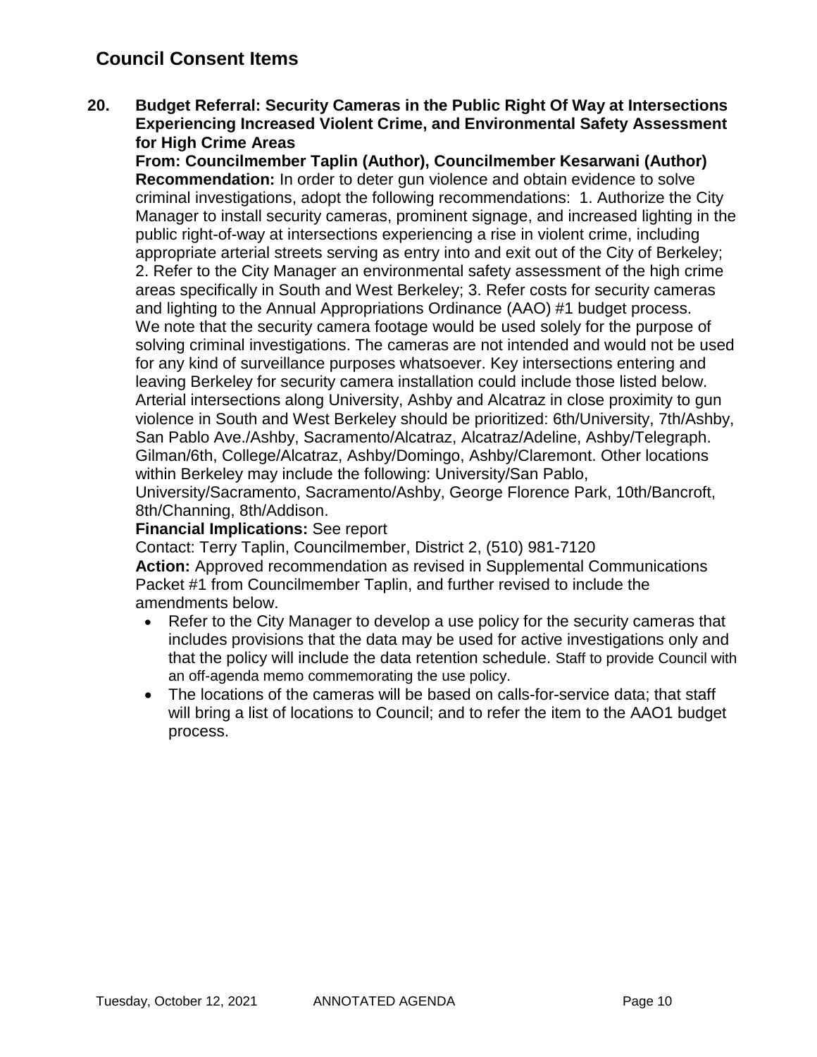## **Council Consent Items**

**20. Budget Referral: Security Cameras in the Public Right Of Way at Intersections Experiencing Increased Violent Crime, and Environmental Safety Assessment for High Crime Areas**

**From: Councilmember Taplin (Author), Councilmember Kesarwani (Author) Recommendation:** In order to deter gun violence and obtain evidence to solve criminal investigations, adopt the following recommendations: 1. Authorize the City Manager to install security cameras, prominent signage, and increased lighting in the public right-of-way at intersections experiencing a rise in violent crime, including appropriate arterial streets serving as entry into and exit out of the City of Berkeley; 2. Refer to the City Manager an environmental safety assessment of the high crime areas specifically in South and West Berkeley; 3. Refer costs for security cameras and lighting to the Annual Appropriations Ordinance (AAO) #1 budget process. We note that the security camera footage would be used solely for the purpose of solving criminal investigations. The cameras are not intended and would not be used for any kind of surveillance purposes whatsoever. Key intersections entering and leaving Berkeley for security camera installation could include those listed below. Arterial intersections along University, Ashby and Alcatraz in close proximity to gun violence in South and West Berkeley should be prioritized: 6th/University, 7th/Ashby, San Pablo Ave./Ashby, Sacramento/Alcatraz, Alcatraz/Adeline, Ashby/Telegraph. Gilman/6th, College/Alcatraz, Ashby/Domingo, Ashby/Claremont. Other locations within Berkeley may include the following: University/San Pablo, University/Sacramento, Sacramento/Ashby, George Florence Park, 10th/Bancroft, 8th/Channing, 8th/Addison.

### **Financial Implications:** See report

Contact: Terry Taplin, Councilmember, District 2, (510) 981-7120 **Action:** Approved recommendation as revised in Supplemental Communications Packet #1 from Councilmember Taplin, and further revised to include the amendments below.

- Refer to the City Manager to develop a use policy for the security cameras that includes provisions that the data may be used for active investigations only and that the policy will include the data retention schedule. Staff to provide Council with an off-agenda memo commemorating the use policy.
- The locations of the cameras will be based on calls-for-service data; that staff will bring a list of locations to Council; and to refer the item to the AAO1 budget process.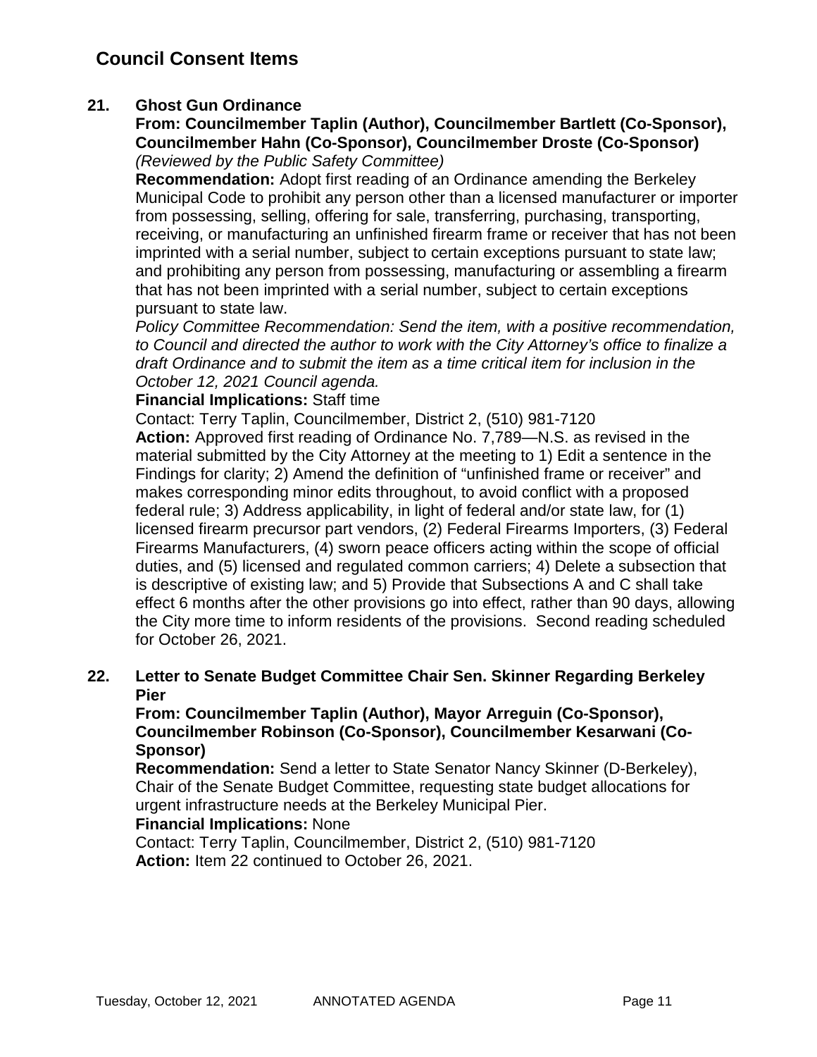### **21. Ghost Gun Ordinance**

### **From: Councilmember Taplin (Author), Councilmember Bartlett (Co-Sponsor), Councilmember Hahn (Co-Sponsor), Councilmember Droste (Co-Sponsor)** *(Reviewed by the Public Safety Committee)*

**Recommendation:** Adopt first reading of an Ordinance amending the Berkeley Municipal Code to prohibit any person other than a licensed manufacturer or importer from possessing, selling, offering for sale, transferring, purchasing, transporting, receiving, or manufacturing an unfinished firearm frame or receiver that has not been imprinted with a serial number, subject to certain exceptions pursuant to state law; and prohibiting any person from possessing, manufacturing or assembling a firearm that has not been imprinted with a serial number, subject to certain exceptions pursuant to state law.

*Policy Committee Recommendation: Send the item, with a positive recommendation, to Council and directed the author to work with the City Attorney's office to finalize a draft Ordinance and to submit the item as a time critical item for inclusion in the October 12, 2021 Council agenda.*

### **Financial Implications:** Staff time

Contact: Terry Taplin, Councilmember, District 2, (510) 981-7120 **Action:** Approved first reading of Ordinance No. 7,789—N.S. as revised in the material submitted by the City Attorney at the meeting to 1) Edit a sentence in the Findings for clarity; 2) Amend the definition of "unfinished frame or receiver" and makes corresponding minor edits throughout, to avoid conflict with a proposed federal rule; 3) Address applicability, in light of federal and/or state law, for (1) licensed firearm precursor part vendors, (2) Federal Firearms Importers, (3) Federal Firearms Manufacturers, (4) sworn peace officers acting within the scope of official duties, and (5) licensed and regulated common carriers; 4) Delete a subsection that is descriptive of existing law; and 5) Provide that Subsections A and C shall take effect 6 months after the other provisions go into effect, rather than 90 days, allowing the City more time to inform residents of the provisions. Second reading scheduled for October 26, 2021.

### **22. Letter to Senate Budget Committee Chair Sen. Skinner Regarding Berkeley Pier**

**From: Councilmember Taplin (Author), Mayor Arreguin (Co-Sponsor), Councilmember Robinson (Co-Sponsor), Councilmember Kesarwani (Co-Sponsor)**

**Recommendation:** Send a letter to State Senator Nancy Skinner (D-Berkeley), Chair of the Senate Budget Committee, requesting state budget allocations for urgent infrastructure needs at the Berkeley Municipal Pier.

### **Financial Implications:** None

Contact: Terry Taplin, Councilmember, District 2, (510) 981-7120 **Action:** Item 22 continued to October 26, 2021.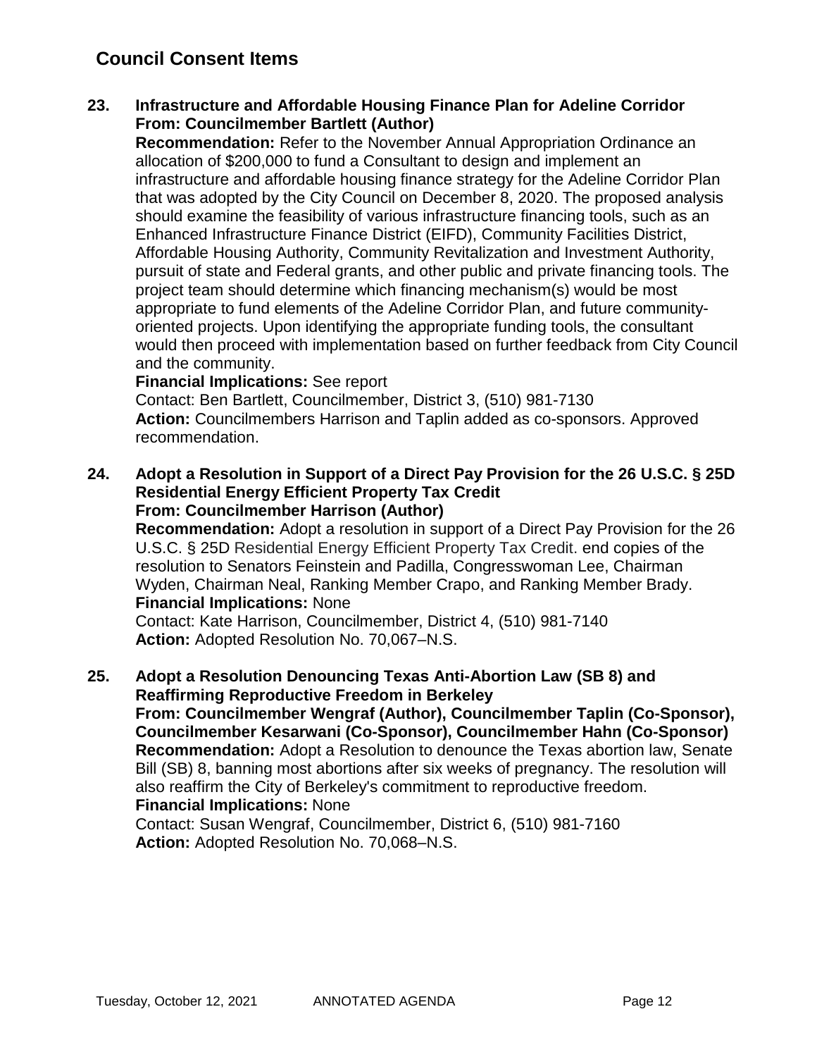## **Council Consent Items**

### **23. Infrastructure and Affordable Housing Finance Plan for Adeline Corridor From: Councilmember Bartlett (Author)**

**Recommendation:** Refer to the November Annual Appropriation Ordinance an allocation of \$200,000 to fund a Consultant to design and implement an infrastructure and affordable housing finance strategy for the Adeline Corridor Plan that was adopted by the City Council on December 8, 2020. The proposed analysis should examine the feasibility of various infrastructure financing tools, such as an Enhanced Infrastructure Finance District (EIFD), Community Facilities District, Affordable Housing Authority, Community Revitalization and Investment Authority, pursuit of state and Federal grants, and other public and private financing tools. The project team should determine which financing mechanism(s) would be most appropriate to fund elements of the Adeline Corridor Plan, and future communityoriented projects. Upon identifying the appropriate funding tools, the consultant would then proceed with implementation based on further feedback from City Council and the community.

### **Financial Implications:** See report

Contact: Ben Bartlett, Councilmember, District 3, (510) 981-7130 **Action:** Councilmembers Harrison and Taplin added as co-sponsors. Approved recommendation.

### **24. Adopt a Resolution in Support of a Direct Pay Provision for the 26 U.S.C. § 25D Residential Energy Efficient Property Tax Credit From: Councilmember Harrison (Author)**

**Recommendation:** Adopt a resolution in support of a Direct Pay Provision for the 26 U.S.C. § 25D Residential Energy Efficient Property Tax Credit. end copies of the resolution to Senators Feinstein and Padilla, Congresswoman Lee, Chairman Wyden, Chairman Neal, Ranking Member Crapo, and Ranking Member Brady. **Financial Implications:** None

Contact: Kate Harrison, Councilmember, District 4, (510) 981-7140 **Action:** Adopted Resolution No. 70,067–N.S.

### **25. Adopt a Resolution Denouncing Texas Anti-Abortion Law (SB 8) and Reaffirming Reproductive Freedom in Berkeley**

**From: Councilmember Wengraf (Author), Councilmember Taplin (Co-Sponsor), Councilmember Kesarwani (Co-Sponsor), Councilmember Hahn (Co-Sponsor) Recommendation:** Adopt a Resolution to denounce the Texas abortion law, Senate Bill (SB) 8, banning most abortions after six weeks of pregnancy. The resolution will also reaffirm the City of Berkeley's commitment to reproductive freedom. **Financial Implications:** None

Contact: Susan Wengraf, Councilmember, District 6, (510) 981-7160 **Action:** Adopted Resolution No. 70,068–N.S.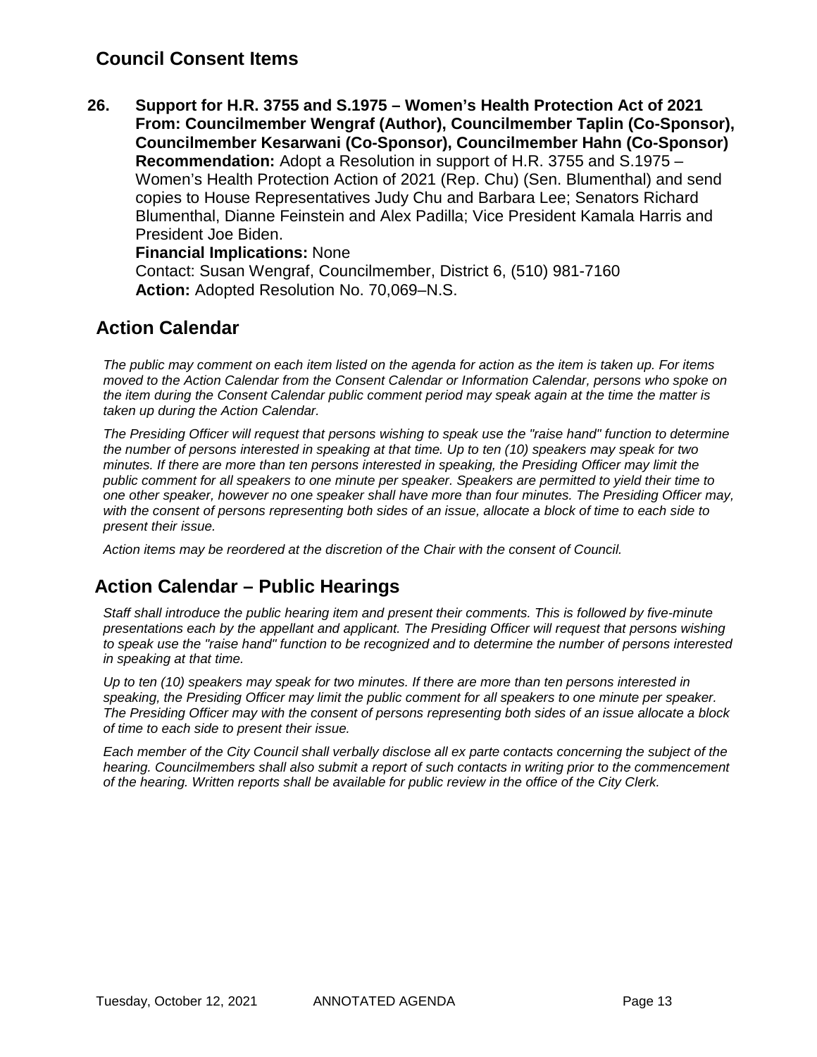## **Council Consent Items**

**26. Support for H.R. 3755 and S.1975 – Women's Health Protection Act of 2021 From: Councilmember Wengraf (Author), Councilmember Taplin (Co-Sponsor), Councilmember Kesarwani (Co-Sponsor), Councilmember Hahn (Co-Sponsor) Recommendation:** Adopt a Resolution in support of H.R. 3755 and S.1975 – Women's Health Protection Action of 2021 (Rep. Chu) (Sen. Blumenthal) and send copies to House Representatives Judy Chu and Barbara Lee; Senators Richard Blumenthal, Dianne Feinstein and Alex Padilla; Vice President Kamala Harris and President Joe Biden.

### **Financial Implications:** None

Contact: Susan Wengraf, Councilmember, District 6, (510) 981-7160 **Action:** Adopted Resolution No. 70,069–N.S.

## **Action Calendar**

*The public may comment on each item listed on the agenda for action as the item is taken up. For items moved to the Action Calendar from the Consent Calendar or Information Calendar, persons who spoke on the item during the Consent Calendar public comment period may speak again at the time the matter is taken up during the Action Calendar.*

*The Presiding Officer will request that persons wishing to speak use the "raise hand" function to determine the number of persons interested in speaking at that time. Up to ten (10) speakers may speak for two minutes. If there are more than ten persons interested in speaking, the Presiding Officer may limit the public comment for all speakers to one minute per speaker. Speakers are permitted to yield their time to one other speaker, however no one speaker shall have more than four minutes. The Presiding Officer may, with the consent of persons representing both sides of an issue, allocate a block of time to each side to present their issue.*

*Action items may be reordered at the discretion of the Chair with the consent of Council.*

## **Action Calendar – Public Hearings**

*Staff shall introduce the public hearing item and present their comments. This is followed by five-minute presentations each by the appellant and applicant. The Presiding Officer will request that persons wishing to speak use the "raise hand" function to be recognized and to determine the number of persons interested in speaking at that time.*

*Up to ten (10) speakers may speak for two minutes. If there are more than ten persons interested in speaking, the Presiding Officer may limit the public comment for all speakers to one minute per speaker. The Presiding Officer may with the consent of persons representing both sides of an issue allocate a block of time to each side to present their issue.*

*Each member of the City Council shall verbally disclose all ex parte contacts concerning the subject of the hearing. Councilmembers shall also submit a report of such contacts in writing prior to the commencement of the hearing. Written reports shall be available for public review in the office of the City Clerk.*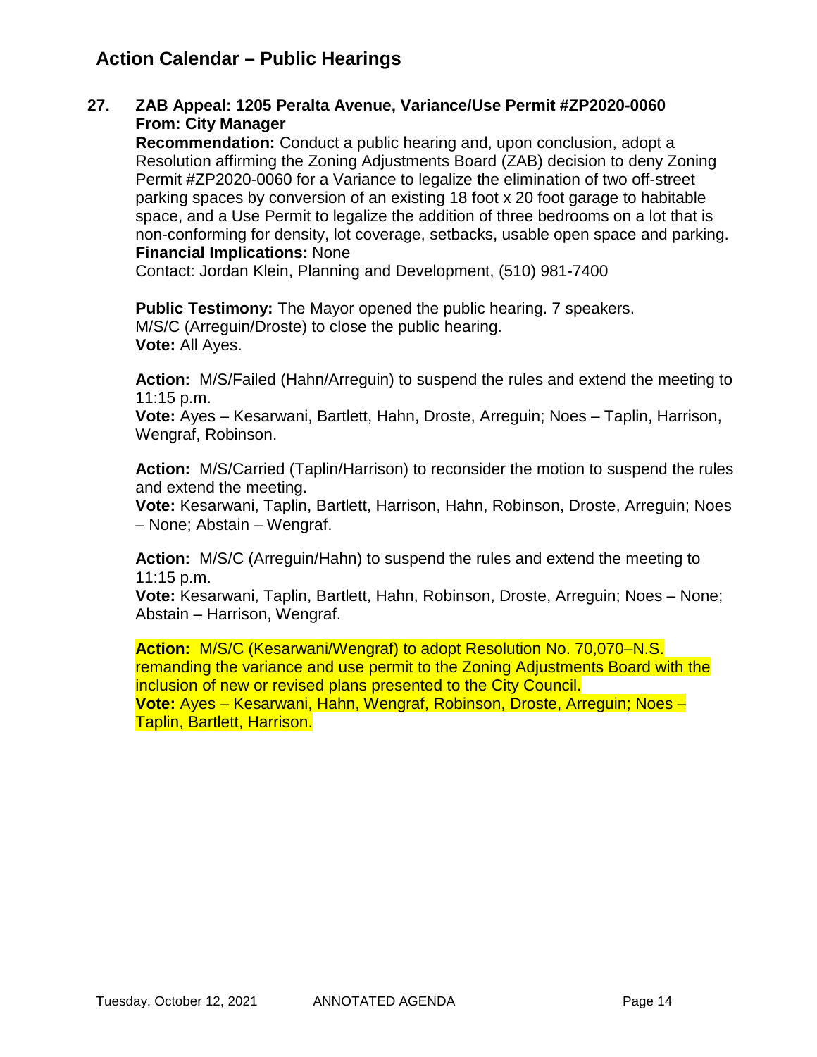## **Action Calendar – Public Hearings**

### **27. ZAB Appeal: 1205 Peralta Avenue, Variance/Use Permit #ZP2020-0060 From: City Manager**

**Recommendation:** Conduct a public hearing and, upon conclusion, adopt a Resolution affirming the Zoning Adjustments Board (ZAB) decision to deny Zoning Permit #ZP2020-0060 for a Variance to legalize the elimination of two off-street parking spaces by conversion of an existing 18 foot x 20 foot garage to habitable space, and a Use Permit to legalize the addition of three bedrooms on a lot that is non-conforming for density, lot coverage, setbacks, usable open space and parking. **Financial Implications:** None

Contact: Jordan Klein, Planning and Development, (510) 981-7400

**Public Testimony:** The Mayor opened the public hearing. 7 speakers. M/S/C (Arreguin/Droste) to close the public hearing. **Vote:** All Ayes.

**Action:** M/S/Failed (Hahn/Arreguin) to suspend the rules and extend the meeting to 11:15 p.m.

**Vote:** Ayes – Kesarwani, Bartlett, Hahn, Droste, Arreguin; Noes – Taplin, Harrison, Wengraf, Robinson.

**Action:** M/S/Carried (Taplin/Harrison) to reconsider the motion to suspend the rules and extend the meeting.

**Vote:** Kesarwani, Taplin, Bartlett, Harrison, Hahn, Robinson, Droste, Arreguin; Noes – None; Abstain – Wengraf.

**Action:** M/S/C (Arreguin/Hahn) to suspend the rules and extend the meeting to 11:15 p.m.

**Vote:** Kesarwani, Taplin, Bartlett, Hahn, Robinson, Droste, Arreguin; Noes – None; Abstain – Harrison, Wengraf.

**Action:** M/S/C (Kesarwani/Wengraf) to adopt Resolution No. 70,070–N.S. remanding the variance and use permit to the Zoning Adjustments Board with the inclusion of new or revised plans presented to the City Council. **Vote:** Ayes – Kesarwani, Hahn, Wengraf, Robinson, Droste, Arreguin; Noes – Taplin, Bartlett, Harrison.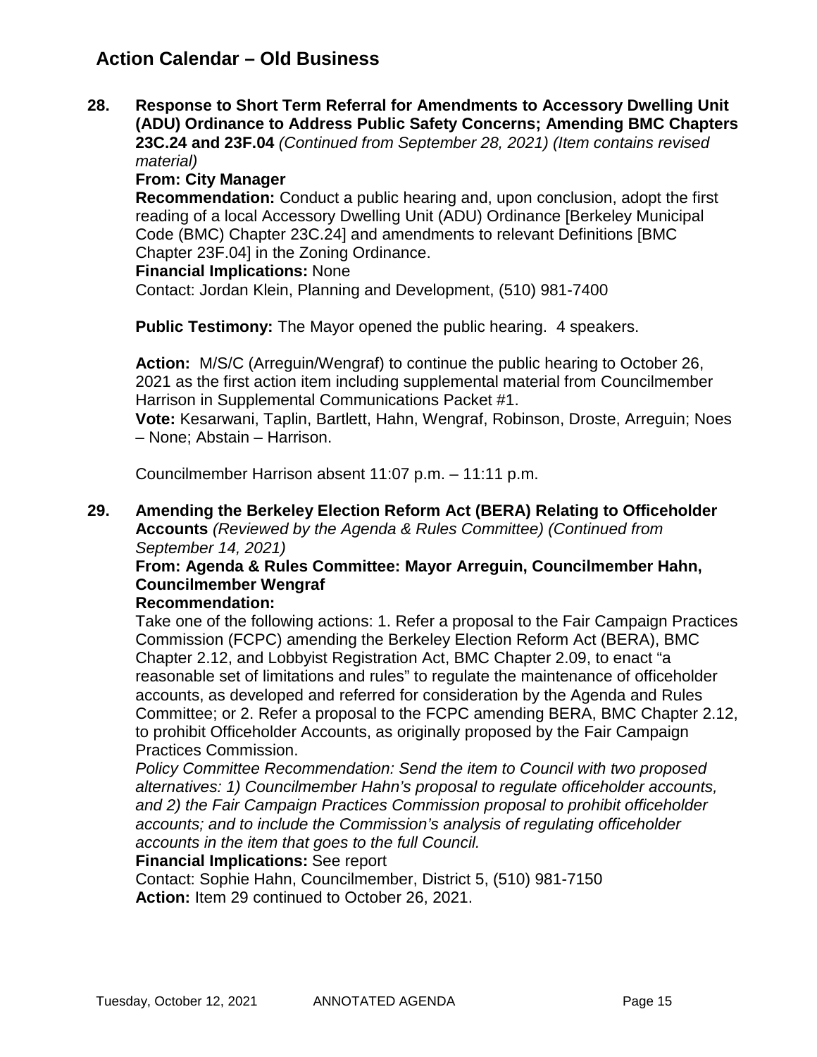## **Action Calendar – Old Business**

**28. Response to Short Term Referral for Amendments to Accessory Dwelling Unit (ADU) Ordinance to Address Public Safety Concerns; Amending BMC Chapters 23C.24 and 23F.04** *(Continued from September 28, 2021) (Item contains revised material)*

**From: City Manager**

**Recommendation:** Conduct a public hearing and, upon conclusion, adopt the first reading of a local Accessory Dwelling Unit (ADU) Ordinance [Berkeley Municipal Code (BMC) Chapter 23C.24] and amendments to relevant Definitions [BMC Chapter 23F.04] in the Zoning Ordinance.

### **Financial Implications:** None

Contact: Jordan Klein, Planning and Development, (510) 981-7400

**Public Testimony:** The Mayor opened the public hearing. 4 speakers.

**Action:** M/S/C (Arreguin/Wengraf) to continue the public hearing to October 26, 2021 as the first action item including supplemental material from Councilmember Harrison in Supplemental Communications Packet #1.

**Vote:** Kesarwani, Taplin, Bartlett, Hahn, Wengraf, Robinson, Droste, Arreguin; Noes – None; Abstain – Harrison.

Councilmember Harrison absent 11:07 p.m. – 11:11 p.m.

**29. Amending the Berkeley Election Reform Act (BERA) Relating to Officeholder Accounts** *(Reviewed by the Agenda & Rules Committee) (Continued from September 14, 2021)*

### **From: Agenda & Rules Committee: Mayor Arreguin, Councilmember Hahn, Councilmember Wengraf**

### **Recommendation:**

Take one of the following actions: 1. Refer a proposal to the Fair Campaign Practices Commission (FCPC) amending the Berkeley Election Reform Act (BERA), BMC Chapter 2.12, and Lobbyist Registration Act, BMC Chapter 2.09, to enact "a reasonable set of limitations and rules" to regulate the maintenance of officeholder accounts, as developed and referred for consideration by the Agenda and Rules Committee; or 2. Refer a proposal to the FCPC amending BERA, BMC Chapter 2.12, to prohibit Officeholder Accounts, as originally proposed by the Fair Campaign Practices Commission.

*Policy Committee Recommendation: Send the item to Council with two proposed alternatives: 1) Councilmember Hahn's proposal to regulate officeholder accounts, and 2) the Fair Campaign Practices Commission proposal to prohibit officeholder accounts; and to include the Commission's analysis of regulating officeholder accounts in the item that goes to the full Council.* 

### **Financial Implications:** See report

Contact: Sophie Hahn, Councilmember, District 5, (510) 981-7150 **Action:** Item 29 continued to October 26, 2021.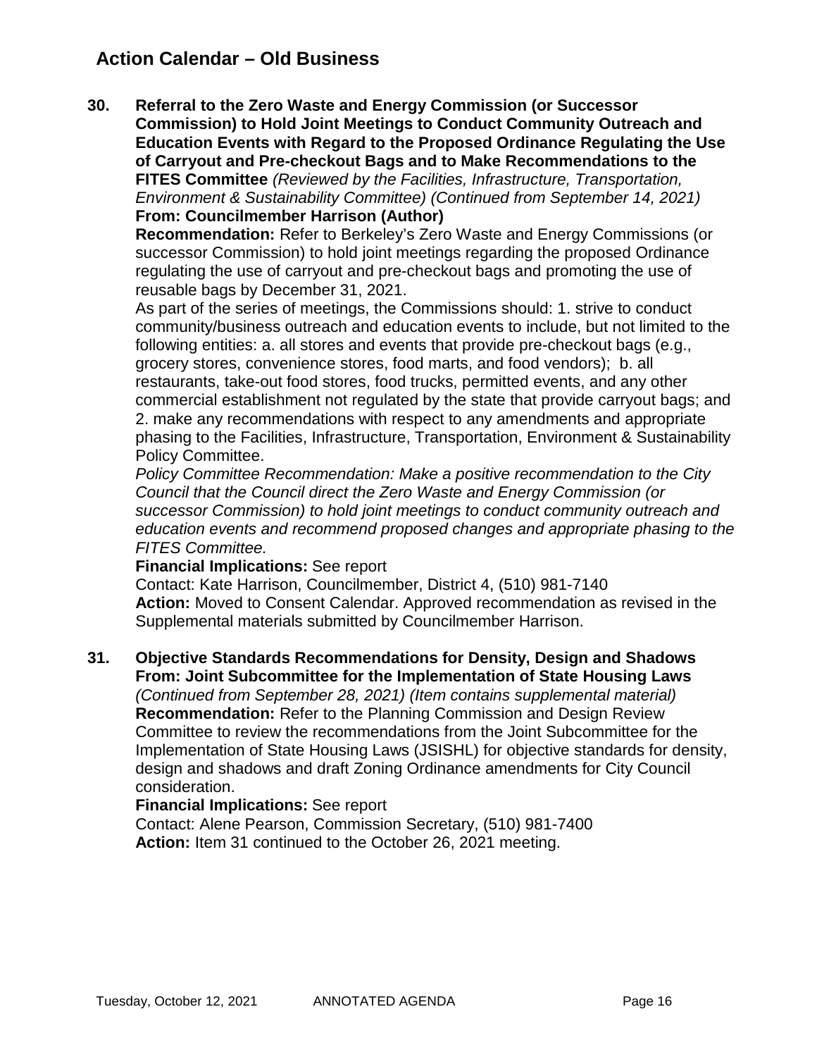## **Action Calendar – Old Business**

**30. Referral to the Zero Waste and Energy Commission (or Successor Commission) to Hold Joint Meetings to Conduct Community Outreach and Education Events with Regard to the Proposed Ordinance Regulating the Use of Carryout and Pre-checkout Bags and to Make Recommendations to the FITES Committee** *(Reviewed by the Facilities, Infrastructure, Transportation, Environment & Sustainability Committee) (Continued from September 14, 2021)*

#### **From: Councilmember Harrison (Author)**

**Recommendation:** Refer to Berkeley's Zero Waste and Energy Commissions (or successor Commission) to hold joint meetings regarding the proposed Ordinance regulating the use of carryout and pre-checkout bags and promoting the use of reusable bags by December 31, 2021.

As part of the series of meetings, the Commissions should: 1. strive to conduct community/business outreach and education events to include, but not limited to the following entities: a. all stores and events that provide pre-checkout bags (e.g., grocery stores, convenience stores, food marts, and food vendors); b. all restaurants, take-out food stores, food trucks, permitted events, and any other commercial establishment not regulated by the state that provide carryout bags; and 2. make any recommendations with respect to any amendments and appropriate phasing to the Facilities, Infrastructure, Transportation, Environment & Sustainability Policy Committee.

*Policy Committee Recommendation: Make a positive recommendation to the City Council that the Council direct the Zero Waste and Energy Commission (or successor Commission) to hold joint meetings to conduct community outreach and education events and recommend proposed changes and appropriate phasing to the FITES Committee.*

### **Financial Implications:** See report

Contact: Kate Harrison, Councilmember, District 4, (510) 981-7140 **Action:** Moved to Consent Calendar. Approved recommendation as revised in the Supplemental materials submitted by Councilmember Harrison.

### **31. Objective Standards Recommendations for Density, Design and Shadows From: Joint Subcommittee for the Implementation of State Housing Laws**

*(Continued from September 28, 2021) (Item contains supplemental material)* **Recommendation:** Refer to the Planning Commission and Design Review Committee to review the recommendations from the Joint Subcommittee for the Implementation of State Housing Laws (JSISHL) for objective standards for density, design and shadows and draft Zoning Ordinance amendments for City Council consideration.

### **Financial Implications:** See report

Contact: Alene Pearson, Commission Secretary, (510) 981-7400 **Action:** Item 31 continued to the October 26, 2021 meeting.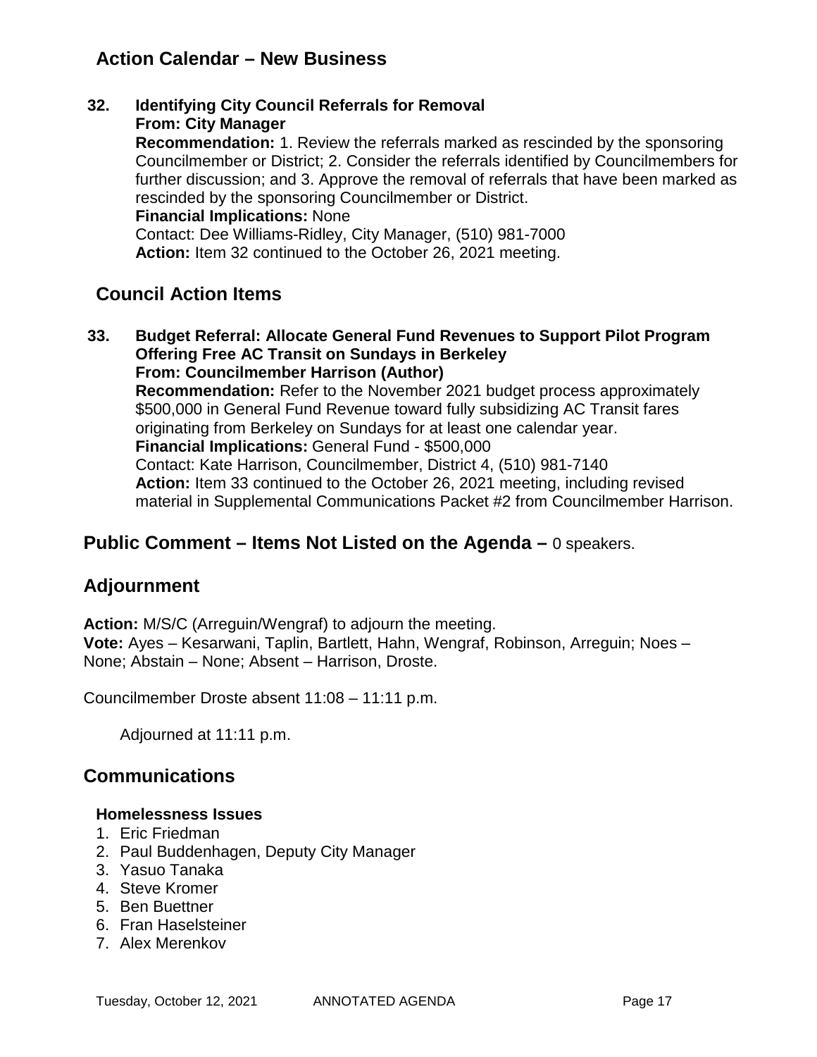## **Action Calendar – New Business**

**32. Identifying City Council Referrals for Removal From: City Manager Recommendation:** 1. Review the referrals marked as rescinded by the sponsoring Councilmember or District; 2. Consider the referrals identified by Councilmembers for further discussion; and 3. Approve the removal of referrals that have been marked as rescinded by the sponsoring Councilmember or District. **Financial Implications:** None Contact: Dee Williams-Ridley, City Manager, (510) 981-7000 **Action:** Item 32 continued to the October 26, 2021 meeting.

## **Council Action Items**

**33. Budget Referral: Allocate General Fund Revenues to Support Pilot Program Offering Free AC Transit on Sundays in Berkeley From: Councilmember Harrison (Author) Recommendation:** Refer to the November 2021 budget process approximately \$500,000 in General Fund Revenue toward fully subsidizing AC Transit fares originating from Berkeley on Sundays for at least one calendar year. **Financial Implications:** General Fund - \$500,000 Contact: Kate Harrison, Councilmember, District 4, (510) 981-7140 **Action:** Item 33 continued to the October 26, 2021 meeting, including revised material in Supplemental Communications Packet #2 from Councilmember Harrison.

## **Public Comment – Items Not Listed on the Agenda –** 0 speakers.

## **Adjournment**

**Action:** M/S/C (Arreguin/Wengraf) to adjourn the meeting. **Vote:** Ayes – Kesarwani, Taplin, Bartlett, Hahn, Wengraf, Robinson, Arreguin; Noes – None; Abstain – None; Absent – Harrison, Droste.

Councilmember Droste absent 11:08 – 11:11 p.m.

Adjourned at 11:11 p.m.

## **Communications**

### **Homelessness Issues**

- 1. Eric Friedman
- 2. Paul Buddenhagen, Deputy City Manager
- 3. Yasuo Tanaka
- 4. Steve Kromer
- 5. Ben Buettner
- 6. Fran Haselsteiner
- 7. Alex Merenkov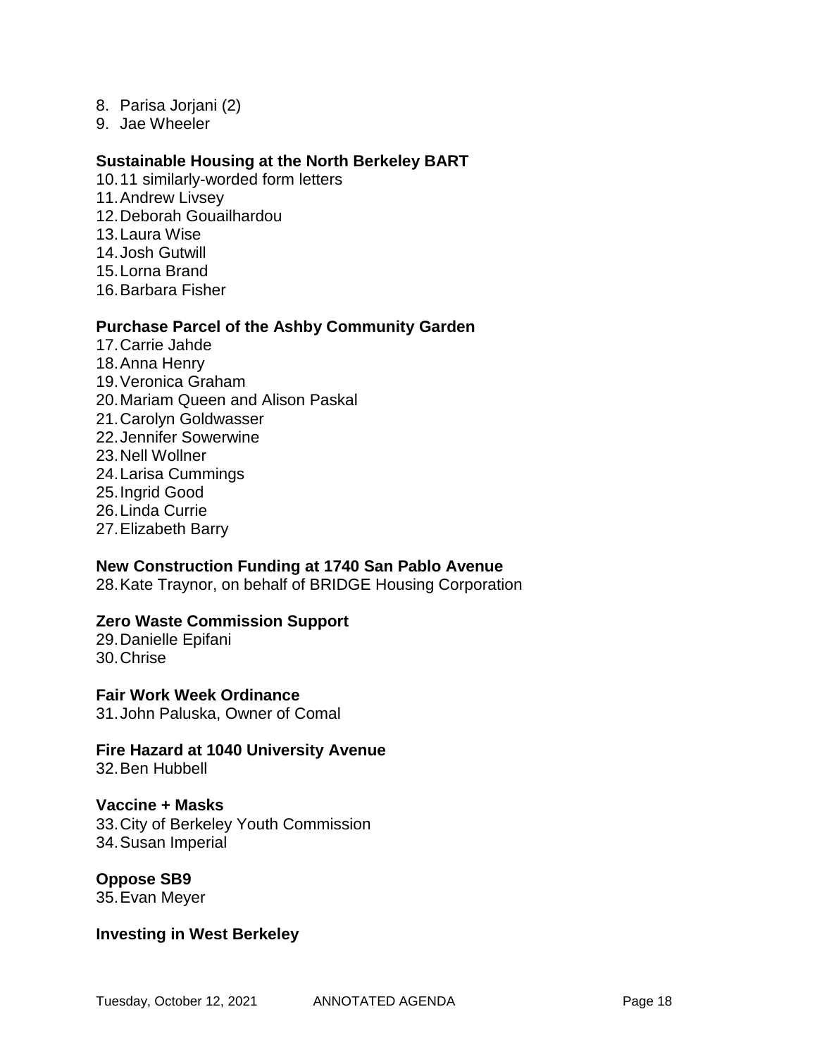- 8. Parisa Jorjani (2)
- 9. Jae Wheeler

#### **Sustainable Housing at the North Berkeley BART**

- 10.11 similarly-worded form letters
- 11.Andrew Livsey
- 12.Deborah Gouailhardou
- 13.Laura Wise
- 14.Josh Gutwill
- 15.Lorna Brand
- 16.Barbara Fisher

#### **Purchase Parcel of the Ashby Community Garden**

- 17.Carrie Jahde
- 18.Anna Henry
- 19.Veronica Graham
- 20.Mariam Queen and Alison Paskal
- 21.Carolyn Goldwasser
- 22.Jennifer Sowerwine
- 23.Nell Wollner
- 24.Larisa Cummings
- 25.Ingrid Good
- 26.Linda Currie
- 27.Elizabeth Barry

### **New Construction Funding at 1740 San Pablo Avenue**

28.Kate Traynor, on behalf of BRIDGE Housing Corporation

### **Zero Waste Commission Support**

29.Danielle Epifani 30.Chrise

**Fair Work Week Ordinance**

31.John Paluska, Owner of Comal

**Fire Hazard at 1040 University Avenue** 32.Ben Hubbell

### **Vaccine + Masks**

33.City of Berkeley Youth Commission 34.Susan Imperial

**Oppose SB9** 35.Evan Meyer

### **Investing in West Berkeley**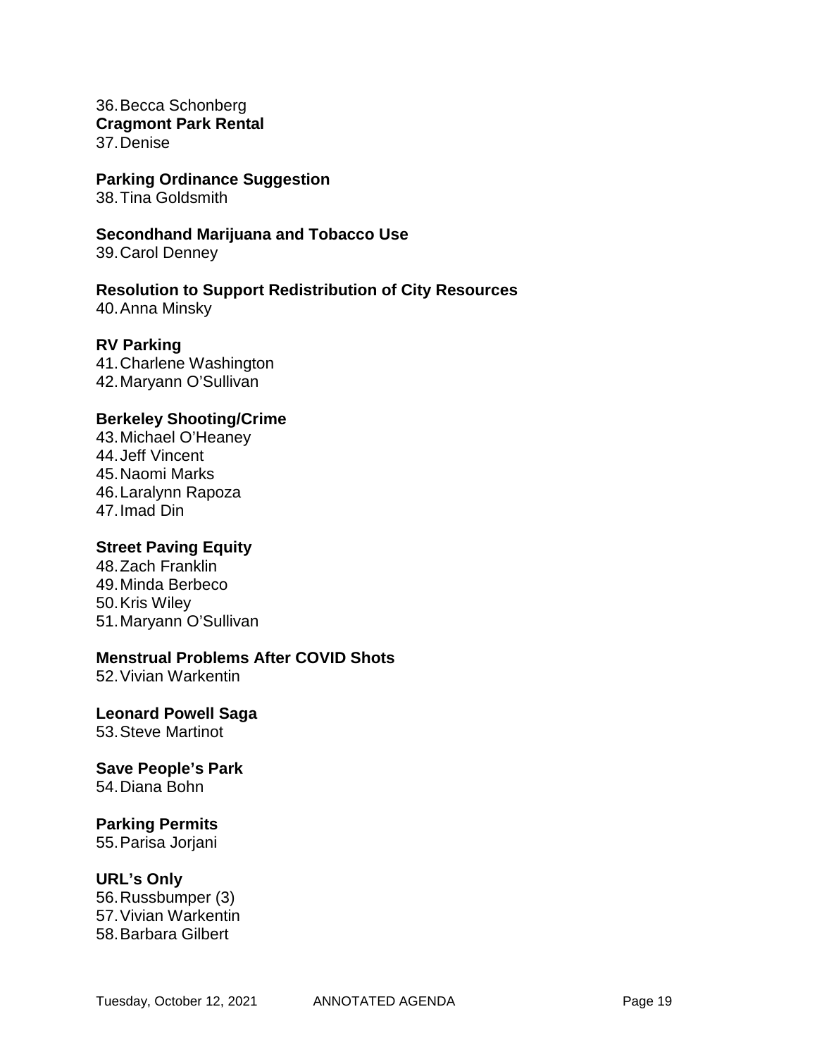36.Becca Schonberg **Cragmont Park Rental** 37.Denise

**Parking Ordinance Suggestion**

38.Tina Goldsmith

**Secondhand Marijuana and Tobacco Use**

39.Carol Denney

**Resolution to Support Redistribution of City Resources** 40.Anna Minsky

**RV Parking** 41.Charlene Washington 42.Maryann O'Sullivan

### **Berkeley Shooting/Crime**

43.Michael O'Heaney 44.Jeff Vincent 45.Naomi Marks 46.Laralynn Rapoza 47.Imad Din

### **Street Paving Equity**

48.Zach Franklin 49.Minda Berbeco 50.Kris Wiley 51.Maryann O'Sullivan

### **Menstrual Problems After COVID Shots**

52.Vivian Warkentin

#### **Leonard Powell Saga** 53.Steve Martinot

#### **Save People's Park** 54.Diana Bohn

### **Parking Permits**

55.Parisa Jorjani

### **URL's Only**

56.Russbumper (3) 57.Vivian Warkentin 58.Barbara Gilbert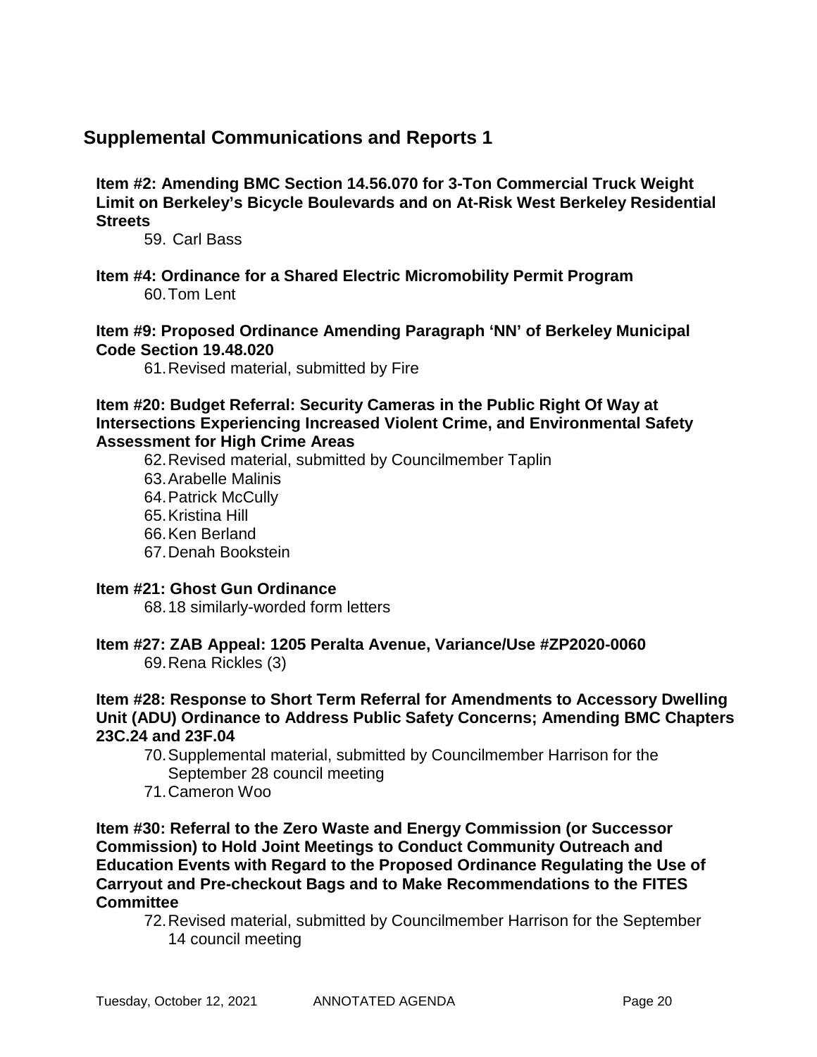## **Supplemental Communications and Reports 1**

**Item #2: Amending BMC Section 14.56.070 for 3-Ton Commercial Truck Weight Limit on Berkeley's Bicycle Boulevards and on At-Risk West Berkeley Residential Streets**

59. Carl Bass

**Item #4: Ordinance for a Shared Electric Micromobility Permit Program** 60.Tom Lent

**Item #9: Proposed Ordinance Amending Paragraph 'NN' of Berkeley Municipal Code Section 19.48.020**

61.Revised material, submitted by Fire

**Item #20: Budget Referral: Security Cameras in the Public Right Of Way at Intersections Experiencing Increased Violent Crime, and Environmental Safety Assessment for High Crime Areas**

62.Revised material, submitted by Councilmember Taplin

- 63.Arabelle Malinis
- 64.Patrick McCully
- 65.Kristina Hill
- 66.Ken Berland
- 67.Denah Bookstein

### **Item #21: Ghost Gun Ordinance**

68.18 similarly-worded form letters

# **Item #27: ZAB Appeal: 1205 Peralta Avenue, Variance/Use #ZP2020-0060**

69.Rena Rickles (3)

### **Item #28: Response to Short Term Referral for Amendments to Accessory Dwelling Unit (ADU) Ordinance to Address Public Safety Concerns; Amending BMC Chapters 23C.24 and 23F.04**

- 70.Supplemental material, submitted by Councilmember Harrison for the September 28 council meeting
- 71.Cameron Woo

**Item #30: Referral to the Zero Waste and Energy Commission (or Successor Commission) to Hold Joint Meetings to Conduct Community Outreach and Education Events with Regard to the Proposed Ordinance Regulating the Use of Carryout and Pre-checkout Bags and to Make Recommendations to the FITES Committee**

72.Revised material, submitted by Councilmember Harrison for the September 14 council meeting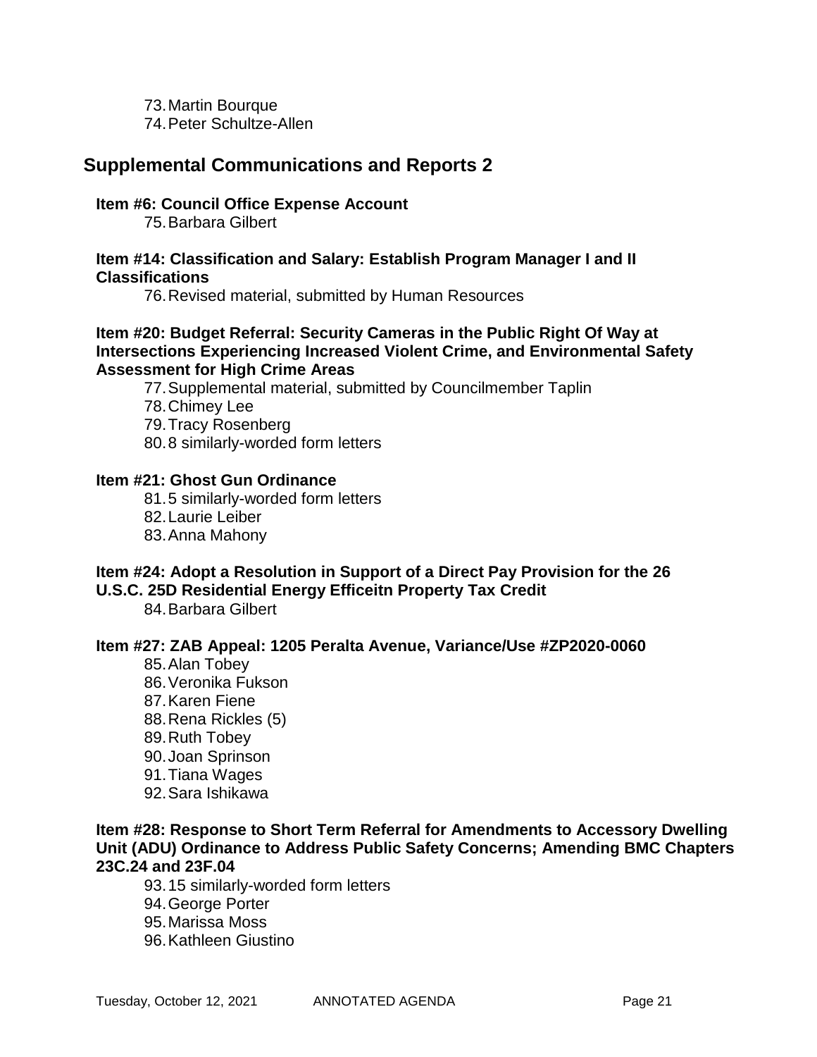73.Martin Bourque 74.Peter Schultze-Allen

## **Supplemental Communications and Reports 2**

### **Item #6: Council Office Expense Account**

75.Barbara Gilbert

### **Item #14: Classification and Salary: Establish Program Manager I and II Classifications**

76.Revised material, submitted by Human Resources

### **Item #20: Budget Referral: Security Cameras in the Public Right Of Way at Intersections Experiencing Increased Violent Crime, and Environmental Safety Assessment for High Crime Areas**

77.Supplemental material, submitted by Councilmember Taplin

- 78.Chimey Lee
- 79.Tracy Rosenberg
- 80.8 similarly-worded form letters

### **Item #21: Ghost Gun Ordinance**

- 81.5 similarly-worded form letters
- 82.Laurie Leiber
- 83.Anna Mahony

### **Item #24: Adopt a Resolution in Support of a Direct Pay Provision for the 26 U.S.C. 25D Residential Energy Efficeitn Property Tax Credit**

84.Barbara Gilbert

### **Item #27: ZAB Appeal: 1205 Peralta Avenue, Variance/Use #ZP2020-0060**

- 85.Alan Tobey 86.Veronika Fukson 87.Karen Fiene 88.Rena Rickles (5) 89.Ruth Tobey 90.Joan Sprinson 91.Tiana Wages
- 92.Sara Ishikawa

### **Item #28: Response to Short Term Referral for Amendments to Accessory Dwelling Unit (ADU) Ordinance to Address Public Safety Concerns; Amending BMC Chapters 23C.24 and 23F.04**

- 93.15 similarly-worded form letters
- 94.George Porter
- 95.Marissa Moss
- 96.Kathleen Giustino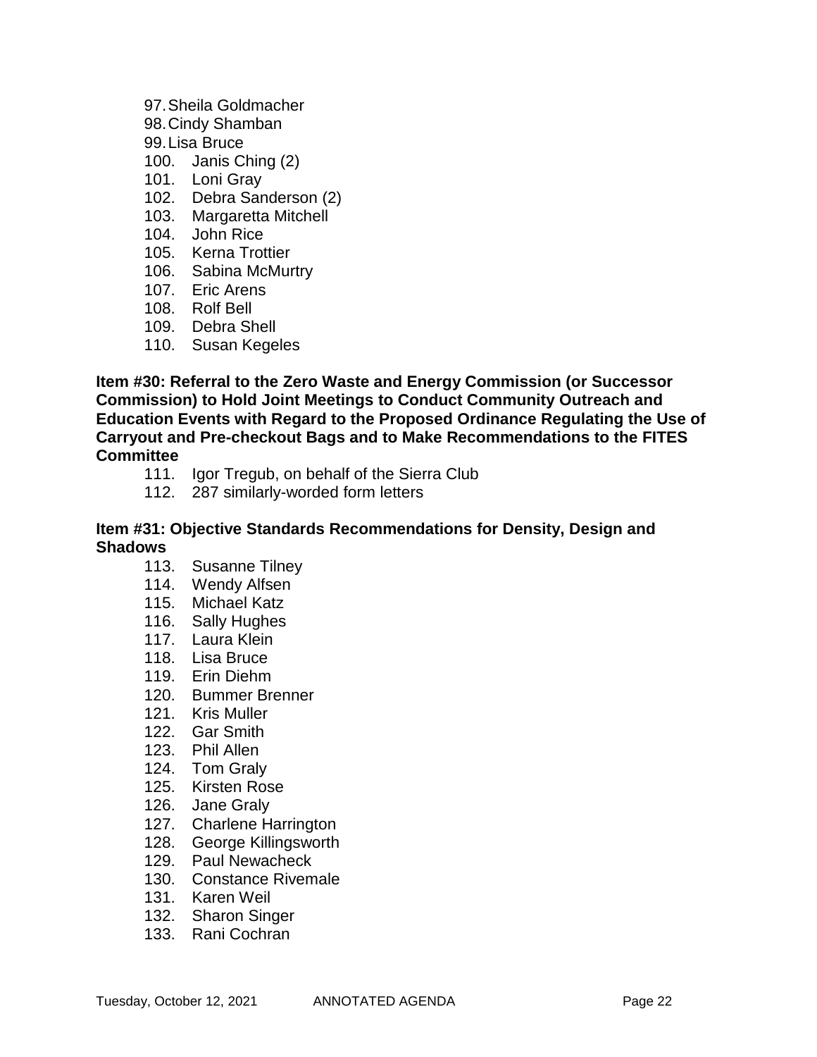### 97.Sheila Goldmacher

- 98.Cindy Shamban
- 99.Lisa Bruce
- 100. Janis Ching (2)
- 101. Loni Gray
- 102. Debra Sanderson (2)
- 103. Margaretta Mitchell
- 104. John Rice
- 105. Kerna Trottier
- 106. Sabina McMurtry
- 107. Eric Arens
- 108. Rolf Bell
- 109. Debra Shell
- 110. Susan Kegeles

**Item #30: Referral to the Zero Waste and Energy Commission (or Successor Commission) to Hold Joint Meetings to Conduct Community Outreach and Education Events with Regard to the Proposed Ordinance Regulating the Use of Carryout and Pre-checkout Bags and to Make Recommendations to the FITES Committee**

- 111. Igor Tregub, on behalf of the Sierra Club
- 112. 287 similarly-worded form letters

### **Item #31: Objective Standards Recommendations for Density, Design and Shadows**

- 113. Susanne Tilney
- 114. Wendy Alfsen
- 115. Michael Katz
- 116. Sally Hughes
- 117. Laura Klein
- 118. Lisa Bruce
- 119. Erin Diehm
- 120. Bummer Brenner
- 121. Kris Muller
- 122. Gar Smith
- 123. Phil Allen
- 124. Tom Graly
- 125. Kirsten Rose
- 126. Jane Graly
- 127. Charlene Harrington
- 128. George Killingsworth
- 129. Paul Newacheck
- 130. Constance Rivemale
- 131. Karen Weil
- 132. Sharon Singer
- 133. Rani Cochran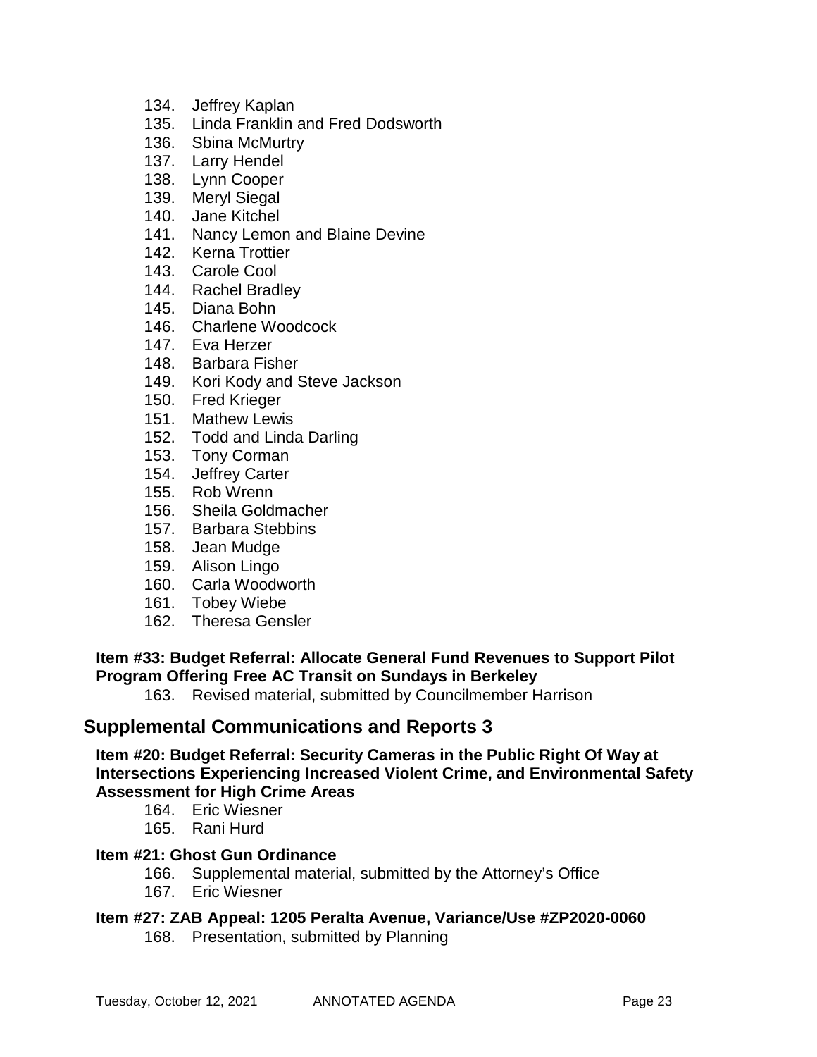- 134. Jeffrey Kaplan
- 135. Linda Franklin and Fred Dodsworth
- 136. Sbina McMurtry
- 137. Larry Hendel
- 138. Lynn Cooper
- 139. Meryl Siegal
- 140. Jane Kitchel
- 141. Nancy Lemon and Blaine Devine
- 142. Kerna Trottier
- 143. Carole Cool
- 144. Rachel Bradley
- 145. Diana Bohn
- 146. Charlene Woodcock
- 147. Eva Herzer
- 148. Barbara Fisher
- 149. Kori Kody and Steve Jackson
- 150. Fred Krieger
- 151. Mathew Lewis
- 152. Todd and Linda Darling
- 153. Tony Corman
- 154. Jeffrey Carter
- 155. Rob Wrenn
- 156. Sheila Goldmacher
- 157. Barbara Stebbins
- 158. Jean Mudge
- 159. Alison Lingo
- 160. Carla Woodworth
- 161. Tobey Wiebe
- 162. Theresa Gensler

### **Item #33: Budget Referral: Allocate General Fund Revenues to Support Pilot Program Offering Free AC Transit on Sundays in Berkeley**

163. Revised material, submitted by Councilmember Harrison

### **Supplemental Communications and Reports 3**

**Item #20: Budget Referral: Security Cameras in the Public Right Of Way at Intersections Experiencing Increased Violent Crime, and Environmental Safety Assessment for High Crime Areas**

- 164. Eric Wiesner
- 165. Rani Hurd

### **Item #21: Ghost Gun Ordinance**

- 166. Supplemental material, submitted by the Attorney's Office
- 167. Eric Wiesner

### **Item #27: ZAB Appeal: 1205 Peralta Avenue, Variance/Use #ZP2020-0060**

168. Presentation, submitted by Planning